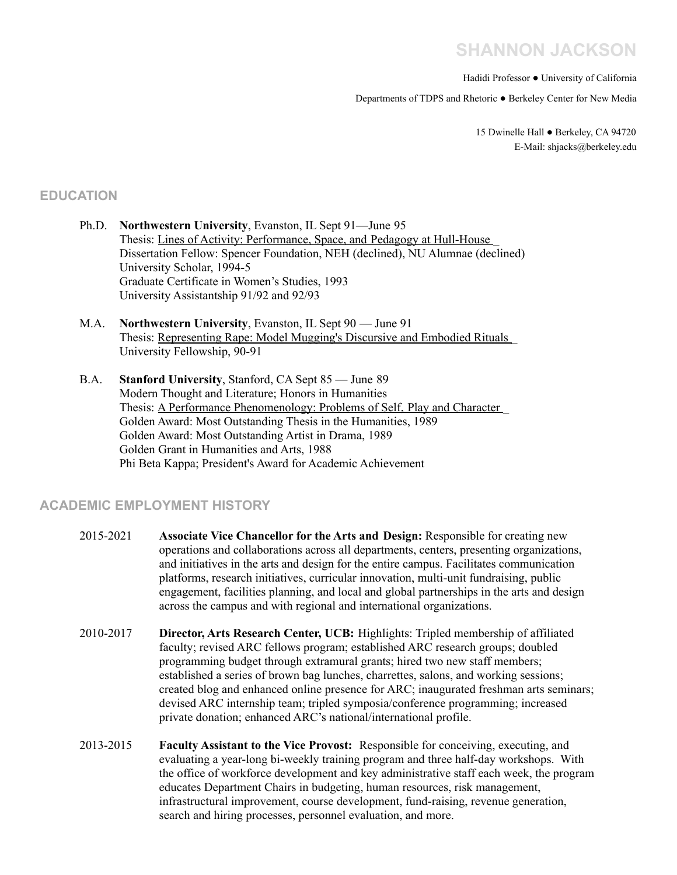# **SHANNON JACKSON**

Hadidi Professor ● University of California

Departments of TDPS and Rhetoric ● Berkeley Center for New Media

15 Dwinelle Hall ● Berkeley, CA 94720 E-Mail: shjacks@berkeley.edu

## **EDUCATION**

- Ph.D. **Northwestern University**, Evanston, IL Sept 91—June 95 Thesis: Lines of Activity: Performance, Space, and Pedagogy at Hull-House \_ Dissertation Fellow: Spencer Foundation, NEH (declined), NU Alumnae (declined) University Scholar, 1994-5 Graduate Certificate in Women's Studies, 1993 University Assistantship 91/92 and 92/93
- M.A. **Northwestern University**, Evanston, IL Sept 90 June 91 Thesis: Representing Rape: Model Mugging's Discursive and Embodied Rituals \_ University Fellowship, 90-91
- B.A. **Stanford University**, Stanford, CA Sept 85 June 89 Modern Thought and Literature; Honors in Humanities Thesis: A Performance Phenomenology: Problems of Self, Play and Character Golden Award: Most Outstanding Thesis in the Humanities, 1989 Golden Award: Most Outstanding Artist in Drama, 1989 Golden Grant in Humanities and Arts, 1988 Phi Beta Kappa; President's Award for Academic Achievement

## **ACADEMIC EMPLOYMENT HISTORY**

- 2015-2021 **Associate Vice Chancellor for the Arts and Design:** Responsible for creating new operations and collaborations across all departments, centers, presenting organizations, and initiatives in the arts and design for the entire campus. Facilitates communication platforms, research initiatives, curricular innovation, multi-unit fundraising, public engagement, facilities planning, and local and global partnerships in the arts and design across the campus and with regional and international organizations.
- 2010-2017 **Director, Arts Research Center, UCB:** Highlights: Tripled membership of affiliated faculty; revised ARC fellows program; established ARC research groups; doubled programming budget through extramural grants; hired two new staff members; established a series of brown bag lunches, charrettes, salons, and working sessions; created blog and enhanced online presence for ARC; inaugurated freshman arts seminars; devised ARC internship team; tripled symposia/conference programming; increased private donation; enhanced ARC's national/international profile.
- 2013-2015 **Faculty Assistant to the Vice Provost:** Responsible for conceiving, executing, and evaluating a year-long bi-weekly training program and three half-day workshops. With the office of workforce development and key administrative staff each week, the program educates Department Chairs in budgeting, human resources, risk management, infrastructural improvement, course development, fund-raising, revenue generation, search and hiring processes, personnel evaluation, and more.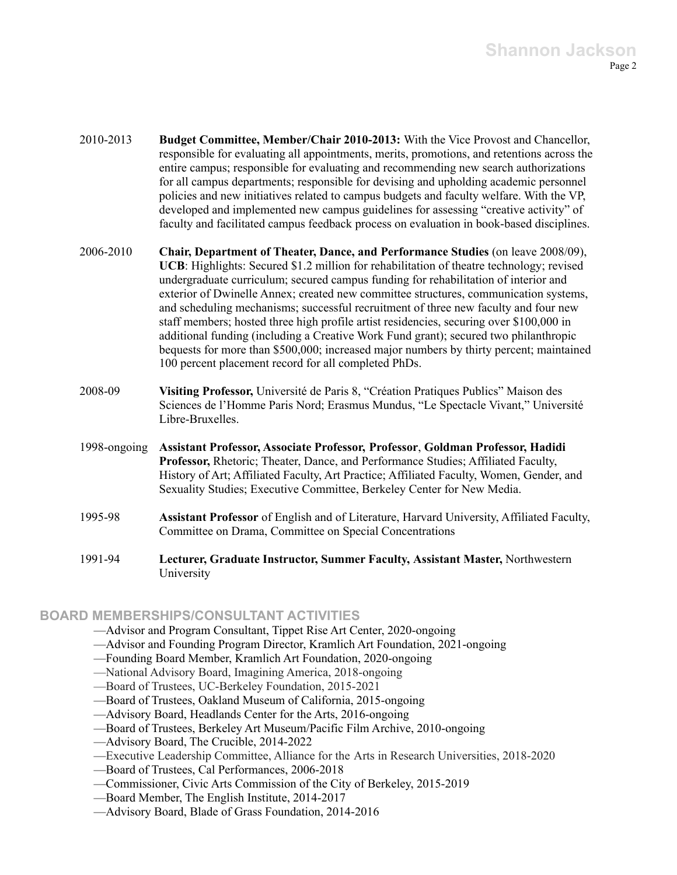- 2010-2013 **Budget Committee, Member/Chair 2010-2013:** With the Vice Provost and Chancellor, responsible for evaluating all appointments, merits, promotions, and retentions across the entire campus; responsible for evaluating and recommending new search authorizations for all campus departments; responsible for devising and upholding academic personnel policies and new initiatives related to campus budgets and faculty welfare. With the VP, developed and implemented new campus guidelines for assessing "creative activity" of faculty and facilitated campus feedback process on evaluation in book-based disciplines.
- 2006-2010 **Chair, Department of Theater, Dance, and Performance Studies** (on leave 2008/09), **UCB**: Highlights: Secured \$1.2 million for rehabilitation of theatre technology; revised undergraduate curriculum; secured campus funding for rehabilitation of interior and exterior of Dwinelle Annex; created new committee structures, communication systems, and scheduling mechanisms; successful recruitment of three new faculty and four new staff members; hosted three high profile artist residencies, securing over \$100,000 in additional funding (including a Creative Work Fund grant); secured two philanthropic bequests for more than \$500,000; increased major numbers by thirty percent; maintained 100 percent placement record for all completed PhDs.
- 2008-09 **Visiting Professor,** Université de Paris 8, "Création Pratiques Publics" Maison des Sciences de l'Homme Paris Nord; Erasmus Mundus, "Le Spectacle Vivant," Université Libre-Bruxelles.
- 1998-ongoing **Assistant Professor, Associate Professor, Professor**, **Goldman Professor, Hadidi Professor,** Rhetoric; Theater, Dance, and Performance Studies; Affiliated Faculty, History of Art; Affiliated Faculty, Art Practice; Affiliated Faculty, Women, Gender, and Sexuality Studies; Executive Committee, Berkeley Center for New Media.
- 1995-98 **Assistant Professor** of English and of Literature, Harvard University, Affiliated Faculty, Committee on Drama, Committee on Special Concentrations
- 1991-94 **Lecturer, Graduate Instructor, Summer Faculty, Assistant Master,** Northwestern University

## **BOARD MEMBERSHIPS/CONSULTANT ACTIVITIES**

- —Advisor and Program Consultant, Tippet Rise Art Center, 2020-ongoing
- —Advisor and Founding Program Director, Kramlich Art Foundation, 2021-ongoing
- —Founding Board Member, Kramlich Art Foundation, 2020-ongoing
- —National Advisory Board, Imagining America, 2018-ongoing
- —Board of Trustees, UC-Berkeley Foundation, 2015-2021
- —Board of Trustees, Oakland Museum of California, 2015-ongoing
- —Advisory Board, Headlands Center for the Arts, 2016-ongoing
- —Board of Trustees, Berkeley Art Museum/Pacific Film Archive, 2010-ongoing
- —Advisory Board, The Crucible, 2014-2022
- —Executive Leadership Committee, Alliance for the Arts in Research Universities, 2018-2020
- —Board of Trustees, Cal Performances, 2006-2018
- —Commissioner, Civic Arts Commission of the City of Berkeley, 2015-2019
- —Board Member, The English Institute, 2014-2017
- —Advisory Board, Blade of Grass Foundation, 2014-2016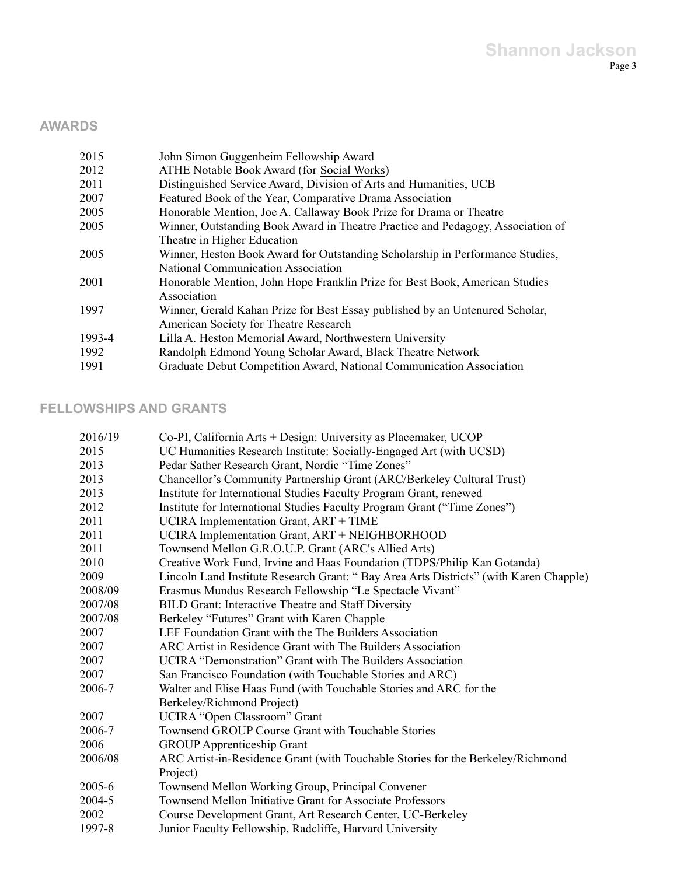## **AWARDS**

| 2015   | John Simon Guggenheim Fellowship Award                                          |
|--------|---------------------------------------------------------------------------------|
| 2012   | ATHE Notable Book Award (for Social Works)                                      |
| 2011   | Distinguished Service Award, Division of Arts and Humanities, UCB               |
| 2007   | Featured Book of the Year, Comparative Drama Association                        |
| 2005   | Honorable Mention, Joe A. Callaway Book Prize for Drama or Theatre              |
| 2005   | Winner, Outstanding Book Award in Theatre Practice and Pedagogy, Association of |
|        | Theatre in Higher Education                                                     |
| 2005   | Winner, Heston Book Award for Outstanding Scholarship in Performance Studies,   |
|        | <b>National Communication Association</b>                                       |
| 2001   | Honorable Mention, John Hope Franklin Prize for Best Book, American Studies     |
|        | Association                                                                     |
| 1997   | Winner, Gerald Kahan Prize for Best Essay published by an Untenured Scholar,    |
|        | American Society for Theatre Research                                           |
| 1993-4 | Lilla A. Heston Memorial Award, Northwestern University                         |
| 1992   | Randolph Edmond Young Scholar Award, Black Theatre Network                      |
| 1991   | Graduate Debut Competition Award, National Communication Association            |

## **FELLOWSHIPS AND GRANTS**

| 2016/19 | Co-PI, California Arts + Design: University as Placemaker, UCOP                       |
|---------|---------------------------------------------------------------------------------------|
| 2015    | UC Humanities Research Institute: Socially-Engaged Art (with UCSD)                    |
| 2013    | Pedar Sather Research Grant, Nordic "Time Zones"                                      |
| 2013    | Chancellor's Community Partnership Grant (ARC/Berkeley Cultural Trust)                |
| 2013    | Institute for International Studies Faculty Program Grant, renewed                    |
| 2012    | Institute for International Studies Faculty Program Grant ("Time Zones")              |
| 2011    | UCIRA Implementation Grant, ART + TIME                                                |
| 2011    | UCIRA Implementation Grant, ART + NEIGHBORHOOD                                        |
| 2011    | Townsend Mellon G.R.O.U.P. Grant (ARC's Allied Arts)                                  |
| 2010    | Creative Work Fund, Irvine and Haas Foundation (TDPS/Philip Kan Gotanda)              |
| 2009    | Lincoln Land Institute Research Grant: "Bay Area Arts Districts" (with Karen Chapple) |
| 2008/09 | Erasmus Mundus Research Fellowship "Le Spectacle Vivant"                              |
| 2007/08 | <b>BILD Grant: Interactive Theatre and Staff Diversity</b>                            |
| 2007/08 | Berkeley "Futures" Grant with Karen Chapple                                           |
| 2007    | LEF Foundation Grant with the The Builders Association                                |
| 2007    | ARC Artist in Residence Grant with The Builders Association                           |
| 2007    | UCIRA "Demonstration" Grant with The Builders Association                             |
| 2007    | San Francisco Foundation (with Touchable Stories and ARC)                             |
| 2006-7  | Walter and Elise Haas Fund (with Touchable Stories and ARC for the                    |
|         | Berkeley/Richmond Project)                                                            |
| 2007    | UCIRA "Open Classroom" Grant                                                          |
| 2006-7  | Townsend GROUP Course Grant with Touchable Stories                                    |
| 2006    | <b>GROUP</b> Apprenticeship Grant                                                     |
| 2006/08 | ARC Artist-in-Residence Grant (with Touchable Stories for the Berkeley/Richmond       |
|         | Project)                                                                              |
| 2005-6  | Townsend Mellon Working Group, Principal Convener                                     |
| 2004-5  | Townsend Mellon Initiative Grant for Associate Professors                             |
| 2002    | Course Development Grant, Art Research Center, UC-Berkeley                            |
| 1997-8  | Junior Faculty Fellowship, Radcliffe, Harvard University                              |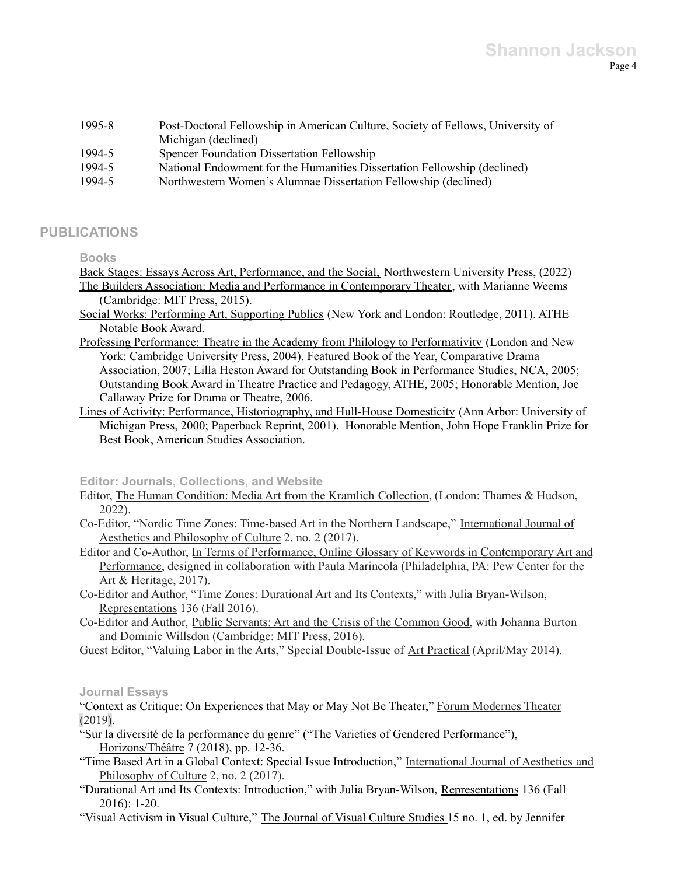| 1995-8 | Post-Doctoral Fellowship in American Culture, Society of Fellows, University of |
|--------|---------------------------------------------------------------------------------|
|        | Michigan (declined)                                                             |
| 1994-5 | <b>Spencer Foundation Dissertation Fellowship</b>                               |
| 1994-5 | National Endowment for the Humanities Dissertation Fellowship (declined)        |
| 1994-5 | Northwestern Women's Alumnae Dissertation Fellowship (declined)                 |

## **PUBLICATIONS**

### **Books**

Back Stages: Essays Across Art, Performance, and the Social, Northwestern University Press, (2022) The Builders Association: Media and Performance in Contemporary Theater, with Marianne Weems (Cambridge: MIT Press, 2015).

- Social Works: Performing Art, Supporting Publics (New York and London: Routledge, 2011). ATHE Notable Book Award.
- Professing Performance: Theatre in the Academy from Philology to Performativity (London and New York: Cambridge University Press, 2004). Featured Book of the Year, Comparative Drama Association, 2007; Lilla Heston Award for Outstanding Book in Performance Studies, NCA, 2005; Outstanding Book Award in Theatre Practice and Pedagogy, ATHE, 2005; Honorable Mention, Joe Callaway Prize for Drama or Theatre, 2006.
- Lines of Activity: Performance, Historiography, and Hull-House Domesticity (Ann Arbor: University of Michigan Press, 2000; Paperback Reprint, 2001). Honorable Mention, John Hope Franklin Prize for Best Book, American Studies Association.

### **Editor: Journals, Collections, and Website**

- Editor, The Human Condition: Media Art from the Kramlich Collection, (London: Thames & Hudson, 2022).
- Co-Editor, "Nordic Time Zones: Time-based Art in the Northern Landscape," International Journal of Aesthetics and Philosophy of Culture 2, no. 2 (2017).
- Editor and Co-Author, In Terms of Performance, Online Glossary of Keywords in Contemporary Art and Performance, designed in collaboration with Paula Marincola (Philadelphia, PA: Pew Center for the Art & Heritage, 2017).
- Co-Editor and Author, "Time Zones: Durational Art and Its Contexts," with Julia Bryan-Wilson, Representations 136 (Fall 2016).
- Co-Editor and Author, Public Servants: Art and the Crisis of the Common Good, with Johanna Burton and Dominic Willsdon (Cambridge: MIT Press, 2016).
- Guest Editor, "Valuing Labor in the Arts," Special Double-Issue of Art Practical (April/May 2014).

### **Journal Essays**

"Context as Critique: On Experiences that May or May Not Be Theater," Forum Modernes Theater (2019).

- "Sur la diversité de la performance du genre" ("The Varieties of Gendered Performance"), Horizons/Théâtre 7 (2018), pp. 12-36.
- "Time Based Art in a Global Context: Special Issue Introduction," International Journal of Aesthetics and Philosophy of Culture 2, no. 2 (2017).
- "Durational Art and Its Contexts: Introduction," with Julia Bryan-Wilson, Representations 136 (Fall 2016): 1-20.
- "Visual Activism in Visual Culture," The Journal of Visual Culture Studies 15 no. 1, ed. by Jennifer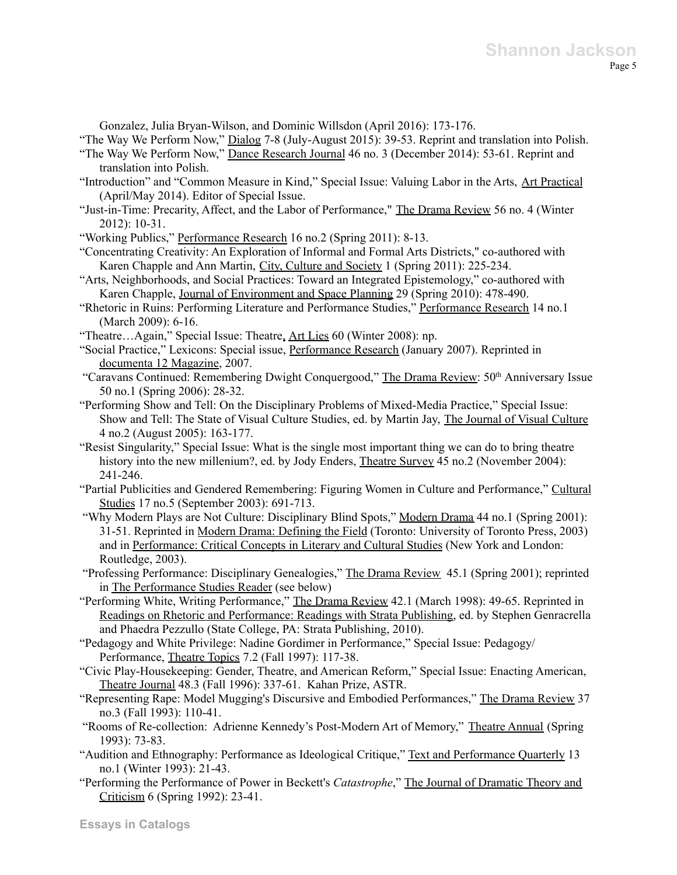Gonzalez, Julia Bryan-Wilson, and Dominic Willsdon (April 2016): 173-176.

"The Way We Perform Now," Dialog 7-8 (July-August 2015): 39-53. Reprint and translation into Polish.

- "The Way We Perform Now," Dance Research Journal 46 no. 3 (December 2014): 53-61. Reprint and translation into Polish.
- "Introduction" and "Common Measure in Kind," Special Issue: Valuing Labor in the Arts, Art Practical (April/May 2014). Editor of Special Issue.
- "Just-in-Time: Precarity, Affect, and the Labor of Performance," The Drama Review 56 no. 4 (Winter 2012): 10-31.

"Working Publics," Performance Research 16 no.2 (Spring 2011): 8-13.

- "Concentrating Creativity: An Exploration of Informal and Formal Arts Districts," co-authored with Karen Chapple and Ann Martin, City, Culture and Society 1 (Spring 2011): 225-234.
- "Arts, Neighborhoods, and Social Practices: Toward an Integrated Epistemology," co-authored with Karen Chapple, Journal of Environment and Space Planning 29 (Spring 2010): 478-490.
- "Rhetoric in Ruins: Performing Literature and Performance Studies," Performance Research 14 no.1 (March 2009): 6-16.
- "Theatre…Again," Special Issue: Theatre, Art Lies 60 (Winter 2008): np.
- "Social Practice," Lexicons: Special issue, Performance Research (January 2007). Reprinted in documenta 12 Magazine, 2007.
- "Caravans Continued: Remembering Dwight Conquergood," The Drama Review: 50<sup>th</sup> Anniversary Issue 50 no.1 (Spring 2006): 28-32.
- "Performing Show and Tell: On the Disciplinary Problems of Mixed-Media Practice," Special Issue: Show and Tell: The State of Visual Culture Studies, ed. by Martin Jay, The Journal of Visual Culture 4 no.2 (August 2005): 163-177.
- "Resist Singularity," Special Issue: What is the single most important thing we can do to bring theatre history into the new millenium?, ed. by Jody Enders, Theatre Survey 45 no.2 (November 2004): 241-246.
- "Partial Publicities and Gendered Remembering: Figuring Women in Culture and Performance," Cultural Studies 17 no.5 (September 2003): 691-713.
- "Why Modern Plays are Not Culture: Disciplinary Blind Spots," Modern Drama 44 no.1 (Spring 2001): 31-51. Reprinted in Modern Drama: Defining the Field (Toronto: University of Toronto Press, 2003) and in Performance: Critical Concepts in Literary and Cultural Studies (New York and London: Routledge, 2003).
- "Professing Performance: Disciplinary Genealogies," The Drama Review 45.1 (Spring 2001); reprinted in The Performance Studies Reader (see below)
- "Performing White, Writing Performance," The Drama Review 42.1 (March 1998): 49-65. Reprinted in Readings on Rhetoric and Performance: Readings with Strata Publishing, ed. by Stephen Genracrella and Phaedra Pezzullo (State College, PA: Strata Publishing, 2010).
- "Pedagogy and White Privilege: Nadine Gordimer in Performance," Special Issue: Pedagogy/ Performance, Theatre Topics 7.2 (Fall 1997): 117-38.
- "Civic Play-Housekeeping: Gender, Theatre, and American Reform," Special Issue: Enacting American, Theatre Journal 48.3 (Fall 1996): 337-61. Kahan Prize, ASTR.
- "Representing Rape: Model Mugging's Discursive and Embodied Performances," The Drama Review 37 no.3 (Fall 1993): 110-41.
- "Rooms of Re-collection: Adrienne Kennedy's Post-Modern Art of Memory," Theatre Annual (Spring 1993): 73-83.
- "Audition and Ethnography: Performance as Ideological Critique," Text and Performance Quarterly 13 no.1 (Winter 1993): 21-43.
- "Performing the Performance of Power in Beckett's *Catastrophe*," The Journal of Dramatic Theory and Criticism 6 (Spring 1992): 23-41.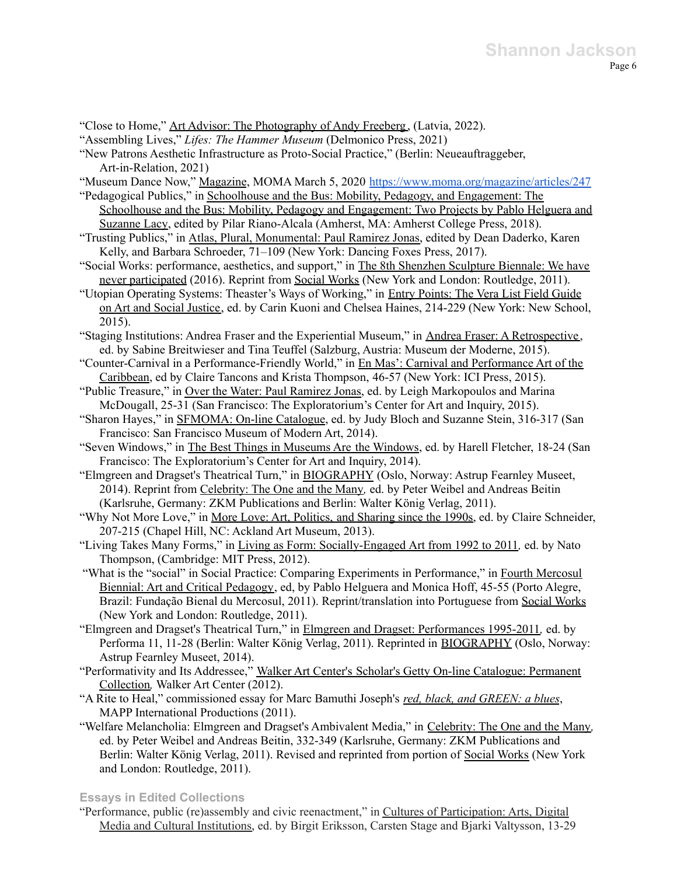"Close to Home," Art Advisor: The Photography of Andy Freeberg , (Latvia, 2022). "Assembling Lives," *Lifes: The Hammer Museum* (Delmonico Press, 2021) "New Patrons Aesthetic Infrastructure as Proto-Social Practice," (Berlin: Neueauftraggeber, Art-in-Relation, 2021) "Museum Dance Now," Magazine, MOMA March 5, 2020 <https://www.moma.org/magazine/articles/247> "Pedagogical Publics," in Schoolhouse and the Bus: Mobility, Pedagogy, and Engagement: The Schoolhouse and the Bus: Mobility, Pedagogy and Engagement: Two Projects by Pablo Helguera and Suzanne Lacy, edited by Pilar Riano-Alcala (Amherst, MA: Amherst College Press, 2018). "Trusting Publics," in Atlas, Plural, Monumental: Paul Ramirez Jonas, edited by Dean Daderko, Karen Kelly, and Barbara Schroeder, 71–109 (New York: Dancing Foxes Press, 2017). "Social Works: performance, aesthetics, and support," in The 8th Shenzhen Sculpture Biennale: We have never participated (2016). Reprint from Social Works (New York and London: Routledge, 2011). "Utopian Operating Systems: Theaster's Ways of Working," in Entry Points: The Vera List Field Guide on Art and Social Justice, ed. by Carin Kuoni and Chelsea Haines, 214-229 (New York: New School, 2015). "Staging Institutions: Andrea Fraser and the Experiential Museum," in Andrea Fraser: A Retrospective , ed. by Sabine Breitwieser and Tina Teuffel (Salzburg, Austria: Museum der Moderne, 2015). "Counter-Carnival in a Performance-Friendly World," in En Mas': Carnival and Performance Art of the Caribbean, ed by Claire Tancons and Krista Thompson, 46-57 (New York: ICI Press, 2015). "Public Treasure," in Over the Water: Paul Ramirez Jonas, ed. by Leigh Markopoulos and Marina McDougall, 25-31 (San Francisco: The Exploratorium's Center for Art and Inquiry, 2015). "Sharon Hayes," in SFMOMA: On-line Catalogue, ed. by Judy Bloch and Suzanne Stein, 316-317 (San Francisco: San Francisco Museum of Modern Art, 2014). "Seven Windows," in The Best Things in Museums Are the Windows, ed. by Harell Fletcher, 18-24 (San Francisco: The Exploratorium's Center for Art and Inquiry, 2014). "Elmgreen and Dragset's Theatrical Turn," in BIOGRAPHY (Oslo, Norway: Astrup Fearnley Museet, 2014). Reprint from Celebrity: The One and the Many*,* ed. by Peter Weibel and Andreas Beitin (Karlsruhe, Germany: ZKM Publications and Berlin: Walter König Verlag, 2011). "Why Not More Love," in More Love: Art, Politics, and Sharing since the 1990s, ed. by Claire Schneider, 207-215 (Chapel Hill, NC: Ackland Art Museum, 2013). "Living Takes Many Forms," in Living as Form: Socially-Engaged Art from 1992 to 2011*,* ed. by Nato Thompson, (Cambridge: MIT Press, 2012). "What is the "social" in Social Practice: Comparing Experiments in Performance," in Fourth Mercosul Biennial: Art and Critical Pedagogy, ed, by Pablo Helguera and Monica Hoff, 45-55 (Porto Alegre, Brazil: Fundação Bienal du Mercosul, 2011). Reprint/translation into Portuguese from Social Works (New York and London: Routledge, 2011). "Elmgreen and Dragset's Theatrical Turn," in Elmgreen and Dragset: Performances 1995-2011*,* ed. by Performa 11, 11-28 (Berlin: Walter König Verlag, 2011). Reprinted in BIOGRAPHY (Oslo, Norway: Astrup Fearnley Museet, 2014). "Performativity and Its Addressee," Walker Art Center's Scholar's Getty On-line Catalogue: Permanent Collection*,* Walker Art Center (2012). "A Rite to Heal," commissioned essay for Marc Bamuthi Joseph's *red, black, and GREEN: a blues*, MAPP International Productions (2011). "Welfare Melancholia: Elmgreen and Dragset's Ambivalent Media," in Celebrity: The One and the Many*,* ed. by Peter Weibel and Andreas Beitin, 332-349 (Karlsruhe, Germany: ZKM Publications and Berlin: Walter König Verlag, 2011). Revised and reprinted from portion of Social Works (New York and London: Routledge, 2011).

#### **Essays in Edited Collections**

"Performance, public (re)assembly and civic reenactment," in Cultures of Participation: Arts, Digital Media and Cultural Institutions, ed. by Birgit Eriksson, Carsten Stage and Bjarki Valtysson, 13-29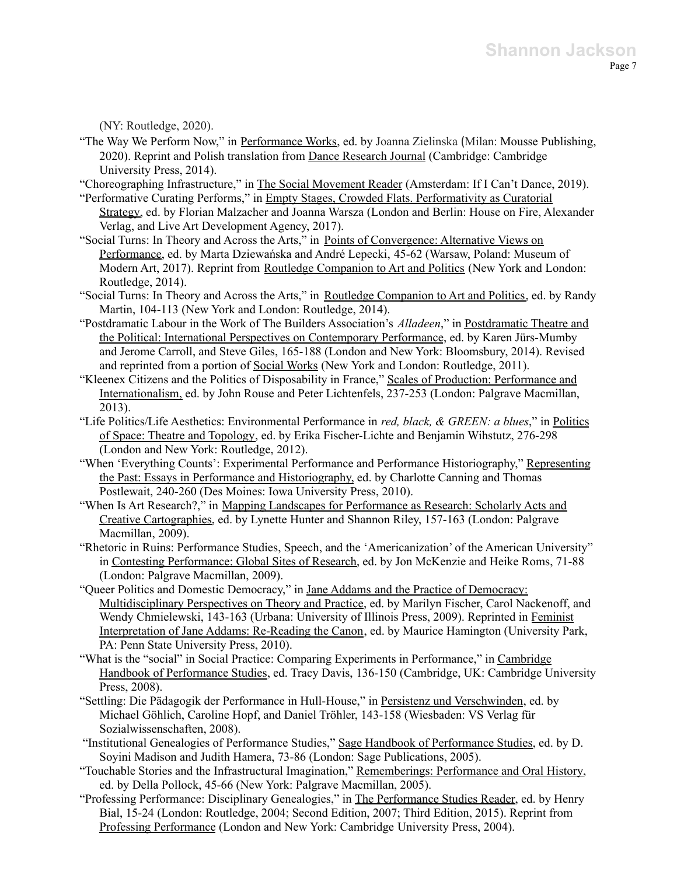(NY: Routledge, 2020).

"The Way We Perform Now," in Performance Works, ed. by Joanna Zielinska (Milan: Mousse Publishing, 2020). Reprint and Polish translation from Dance Research Journal (Cambridge: Cambridge University Press, 2014).

"Choreographing Infrastructure," in The Social Movement Reader (Amsterdam: If I Can't Dance, 2019).

- "Performative Curating Performs," in Empty Stages, Crowded Flats. Performativity as Curatorial Strategy, ed. by Florian Malzacher and Joanna Warsza (London and Berlin: House on Fire, Alexander Verlag, and Live Art Development Agency, 2017).
- "Social Turns: In Theory and Across the Arts," in Points of Convergence: Alternative Views on Performance, ed. by Marta Dziewańska and André Lepecki, 45-62 (Warsaw, Poland: Museum of Modern Art, 2017). Reprint from Routledge Companion to Art and Politics (New York and London: Routledge, 2014).
- "Social Turns: In Theory and Across the Arts," in Routledge Companion to Art and Politics, ed. by Randy Martin, 104-113 (New York and London: Routledge, 2014).
- "Postdramatic Labour in the Work of The Builders Association's *Alladeen*," in Postdramatic Theatre and the Political: International Perspectives on Contemporary Performance, ed. by Karen Jürs-Mumby and Jerome Carroll, and Steve Giles, 165-188 (London and New York: Bloomsbury, 2014). Revised and reprinted from a portion of Social Works (New York and London: Routledge, 2011).
- "Kleenex Citizens and the Politics of Disposability in France," Scales of Production: Performance and Internationalism, ed. by John Rouse and Peter Lichtenfels, 237-253 (London: Palgrave Macmillan, 2013).
- "Life Politics/Life Aesthetics: Environmental Performance in *red, black, & GREEN: a blues*," in Politics of Space: Theatre and Topology, ed. by Erika Fischer-Lichte and Benjamin Wihstutz, 276-298 (London and New York: Routledge, 2012).
- "When 'Everything Counts': Experimental Performance and Performance Historiography," Representing the Past: Essays in Performance and Historiography, ed. by Charlotte Canning and Thomas Postlewait, 240-260 (Des Moines: Iowa University Press, 2010).
- "When Is Art Research?," in Mapping Landscapes for Performance as Research: Scholarly Acts and Creative Cartographies, ed. by Lynette Hunter and Shannon Riley, 157-163 (London: Palgrave Macmillan, 2009).
- "Rhetoric in Ruins: Performance Studies, Speech, and the 'Americanization' of the American University" in Contesting Performance: Global Sites of Research, ed. by Jon McKenzie and Heike Roms, 71-88 (London: Palgrave Macmillan, 2009).
- "Queer Politics and Domestic Democracy," in Jane Addams and the Practice of Democracy: Multidisciplinary Perspectives on Theory and Practice, ed. by Marilyn Fischer, Carol Nackenoff, and Wendy Chmielewski, 143-163 (Urbana: University of Illinois Press, 2009). Reprinted in Feminist Interpretation of Jane Addams: Re-Reading the Canon, ed. by Maurice Hamington (University Park, PA: Penn State University Press, 2010).
- "What is the "social" in Social Practice: Comparing Experiments in Performance," in Cambridge Handbook of Performance Studies, ed. Tracy Davis, 136-150 (Cambridge, UK: Cambridge University Press, 2008).
- "Settling: Die Pädagogik der Performance in Hull-House," in Persistenz und Verschwinden, ed. by Michael Göhlich, Caroline Hopf, and Daniel Tröhler, 143-158 (Wiesbaden: VS Verlag für Sozialwissenschaften, 2008).
- "Institutional Genealogies of Performance Studies," Sage Handbook of Performance Studies, ed. by D. Soyini Madison and Judith Hamera, 73-86 (London: Sage Publications, 2005).
- "Touchable Stories and the Infrastructural Imagination," Rememberings: Performance and Oral History, ed. by Della Pollock, 45-66 (New York: Palgrave Macmillan, 2005).
- "Professing Performance: Disciplinary Genealogies," in The Performance Studies Reader, ed. by Henry Bial, 15-24 (London: Routledge, 2004; Second Edition, 2007; Third Edition, 2015). Reprint from Professing Performance (London and New York: Cambridge University Press, 2004).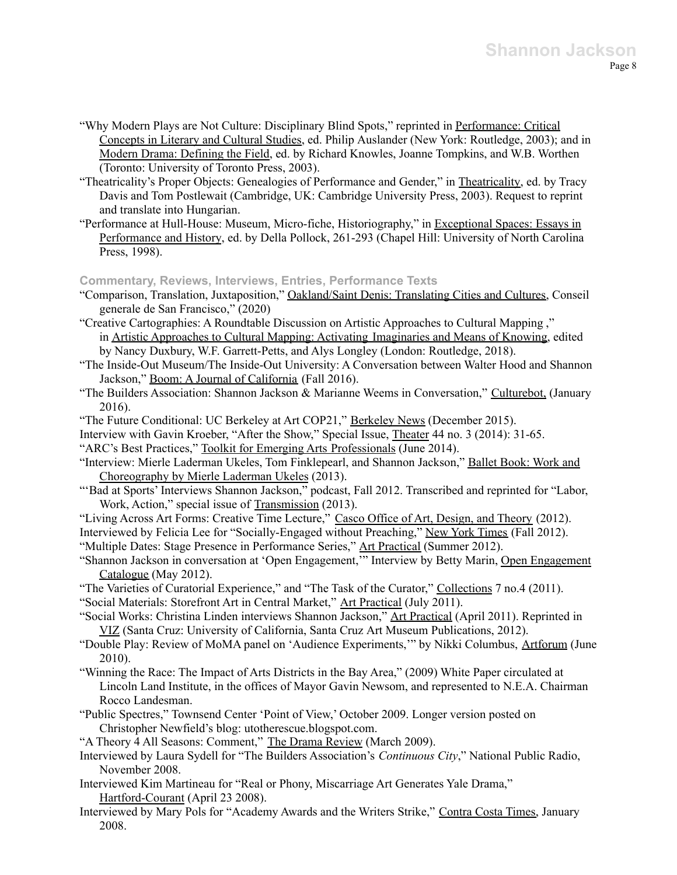- "Why Modern Plays are Not Culture: Disciplinary Blind Spots," reprinted in Performance: Critical Concepts in Literary and Cultural Studies, ed. Philip Auslander (New York: Routledge, 2003); and in Modern Drama: Defining the Field, ed. by Richard Knowles, Joanne Tompkins, and W.B. Worthen (Toronto: University of Toronto Press, 2003).
- "Theatricality's Proper Objects: Genealogies of Performance and Gender," in Theatricality, ed. by Tracy Davis and Tom Postlewait (Cambridge, UK: Cambridge University Press, 2003). Request to reprint and translate into Hungarian.
- "Performance at Hull-House: Museum, Micro-fiche, Historiography," in Exceptional Spaces: Essays in Performance and History, ed. by Della Pollock, 261-293 (Chapel Hill: University of North Carolina Press, 1998).

### **Commentary, Reviews, Interviews, Entries, Performance Texts**

- "Comparison, Translation, Juxtaposition," Oakland/Saint Denis: Translating Cities and Cultures, Conseil generale de San Francisco," (2020)
- "Creative Cartographies: A Roundtable Discussion on Artistic Approaches to Cultural Mapping ," in Artistic Approaches to Cultural Mapping: Activating Imaginaries and Means of Knowing, edited by Nancy Duxbury, W.F. Garrett-Petts, and Alys Longley (London: Routledge, 2018).
- "The Inside-Out Museum/The Inside-Out University: A Conversation between Walter Hood and Shannon Jackson," Boom: A Journal of California (Fall 2016).
- "The Builders Association: Shannon Jackson & Marianne Weems in Conversation," Culturebot, (January 2016).
- "The Future Conditional: UC Berkeley at Art COP21," Berkeley News (December 2015).
- Interview with Gavin Kroeber, "After the Show," Special Issue, Theater 44 no. 3 (2014): 31-65. "ARC's Best Practices," Toolkit for Emerging Arts Professionals (June 2014).
- "Interview: Mierle Laderman Ukeles, Tom Finklepearl, and Shannon Jackson," Ballet Book: Work and Choreography by Mierle Laderman Ukeles (2013).
- "'Bad at Sports' Interviews Shannon Jackson," podcast, Fall 2012. Transcribed and reprinted for "Labor, Work, Action," special issue of Transmission (2013).
- "Living Across Art Forms: Creative Time Lecture," Casco Office of Art, Design, and Theory (2012). Interviewed by Felicia Lee for "Socially-Engaged without Preaching," New York Times (Fall 2012).
- "Multiple Dates: Stage Presence in Performance Series," Art Practical (Summer 2012).
- "Shannon Jackson in conversation at 'Open Engagement,'" Interview by Betty Marin, Open Engagement Catalogue (May 2012).
- "The Varieties of Curatorial Experience," and "The Task of the Curator," Collections 7 no.4 (2011).
- "Social Materials: Storefront Art in Central Market," Art Practical (July 2011).
- "Social Works: Christina Linden interviews Shannon Jackson," Art Practical (April 2011). Reprinted in VIZ (Santa Cruz: University of California, Santa Cruz Art Museum Publications, 2012).
- "Double Play: Review of MoMA panel on 'Audience Experiments,'" by Nikki Columbus, Artforum (June 2010).
- "Winning the Race: The Impact of Arts Districts in the Bay Area," (2009) White Paper circulated at Lincoln Land Institute, in the offices of Mayor Gavin Newsom, and represented to N.E.A. Chairman Rocco Landesman.
- "Public Spectres," Townsend Center 'Point of View,' October 2009. Longer version posted on Christopher Newfield's blog: utotherescue.blogspot.com.
- "A Theory 4 All Seasons: Comment," The Drama Review (March 2009).
- Interviewed by Laura Sydell for "The Builders Association's *Continuous City*," National Public Radio, November 2008.
- Interviewed Kim Martineau for "Real or Phony, Miscarriage Art Generates Yale Drama," Hartford-Courant (April 23 2008).
- Interviewed by Mary Pols for "Academy Awards and the Writers Strike," Contra Costa Times, January 2008.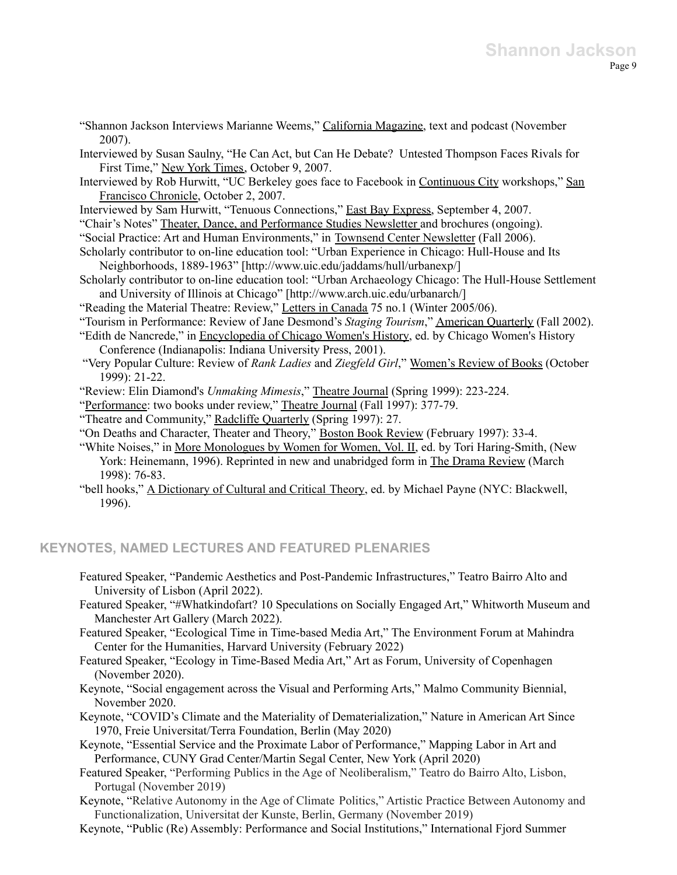- "Shannon Jackson Interviews Marianne Weems," California Magazine, text and podcast (November 2007).
- Interviewed by Susan Saulny, "He Can Act, but Can He Debate? Untested Thompson Faces Rivals for First Time," New York Times, October 9, 2007.
- Interviewed by Rob Hurwitt, "UC Berkeley goes face to Facebook in Continuous City workshops," San Francisco Chronicle, October 2, 2007.
- Interviewed by Sam Hurwitt, "Tenuous Connections," East Bay Express, September 4, 2007.
- "Chair's Notes" Theater, Dance, and Performance Studies Newsletter and brochures (ongoing).
- "Social Practice: Art and Human Environments," in Townsend Center Newsletter (Fall 2006).
- Scholarly contributor to on-line education tool: "Urban Experience in Chicago: Hull-House and Its Neighborhoods, 1889-1963" [http://www.uic.edu/jaddams/hull/urbanexp/]
- Scholarly contributor to on-line education tool: "Urban Archaeology Chicago: The Hull-House Settlement and University of Illinois at Chicago" [http://www.arch.uic.edu/urbanarch/]
- "Reading the Material Theatre: Review," Letters in Canada 75 no.1 (Winter 2005/06).
- "Tourism in Performance: Review of Jane Desmond's *Staging Tourism*," American Quarterly (Fall 2002).
- "Edith de Nancrede," in Encyclopedia of Chicago Women's History, ed. by Chicago Women's History Conference (Indianapolis: Indiana University Press, 2001).
- "Very Popular Culture: Review of *Rank Ladies* and *Ziegfeld Girl*," Women's Review of Books (October 1999): 21-22.
- "Review: Elin Diamond's *Unmaking Mimesis*," Theatre Journal (Spring 1999): 223-224.
- "Performance: two books under review," Theatre Journal (Fall 1997): 377-79.
- "Theatre and Community," Radcliffe Quarterly (Spring 1997): 27.
- "On Deaths and Character, Theater and Theory," Boston Book Review (February 1997): 33-4.
- "White Noises," in More Monologues by Women for Women, Vol. II, ed. by Tori Haring-Smith, (New York: Heinemann, 1996). Reprinted in new and unabridged form in The Drama Review (March 1998): 76-83.
- "bell hooks," A Dictionary of Cultural and Critical Theory, ed. by Michael Payne (NYC: Blackwell, 1996).

## **KEYNOTES, NAMED LECTURES AND FEATURED PLENARIES**

- Featured Speaker, "Pandemic Aesthetics and Post-Pandemic Infrastructures," Teatro Bairro Alto and University of Lisbon (April 2022).
- Featured Speaker, "#Whatkindofart? 10 Speculations on Socially Engaged Art," Whitworth Museum and Manchester Art Gallery (March 2022).
- Featured Speaker, "Ecological Time in Time-based Media Art," The Environment Forum at Mahindra Center for the Humanities, Harvard University (February 2022)
- Featured Speaker, "Ecology in Time-Based Media Art," Art as Forum, University of Copenhagen (November 2020).
- Keynote, "Social engagement across the Visual and Performing Arts," Malmo Community Biennial, November 2020.
- Keynote, "COVID's Climate and the Materiality of Dematerialization," Nature in American Art Since 1970, Freie Universitat/Terra Foundation, Berlin (May 2020)
- Keynote, "Essential Service and the Proximate Labor of Performance," Mapping Labor in Art and Performance, CUNY Grad Center/Martin Segal Center, New York (April 2020)
- Featured Speaker, "Performing Publics in the Age of Neoliberalism," Teatro do Bairro Alto, Lisbon, Portugal (November 2019)
- Keynote, "Relative Autonomy in the Age of Climate Politics," Artistic Practice Between Autonomy and Functionalization, Universitat der Kunste, Berlin, Germany (November 2019)
- Keynote, "Public (Re) Assembly: Performance and Social Institutions," International Fjord Summer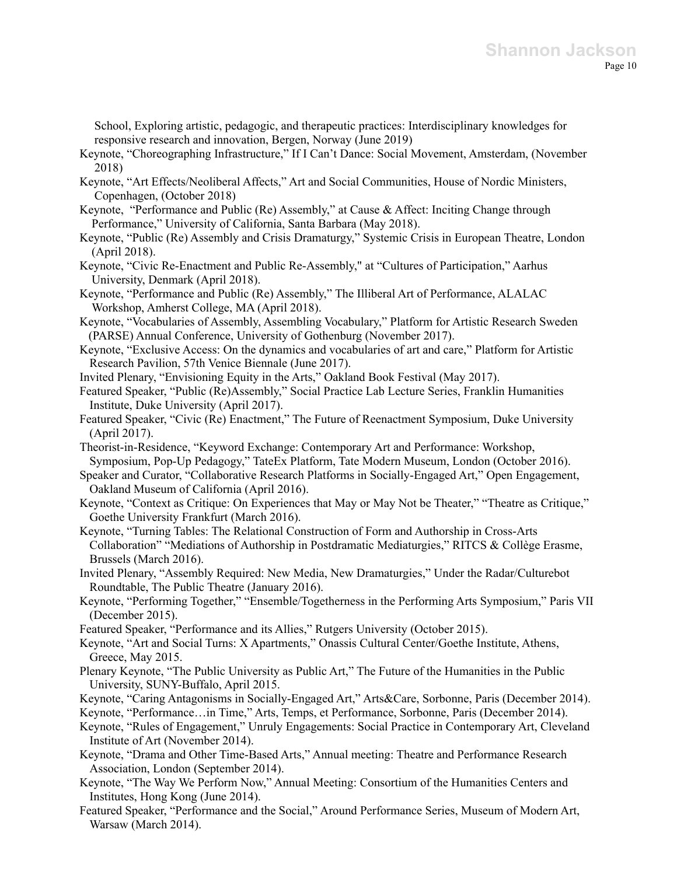School, Exploring artistic, pedagogic, and therapeutic practices: Interdisciplinary knowledges for responsive research and innovation, Bergen, Norway (June 2019)

- Keynote, "Choreographing Infrastructure," If I Can't Dance: Social Movement, Amsterdam, (November 2018)
- Keynote, "Art Effects/Neoliberal Affects," Art and Social Communities, House of Nordic Ministers, Copenhagen, (October 2018)
- Keynote, "Performance and Public (Re) Assembly," at Cause & Affect: Inciting Change through Performance," University of California, Santa Barbara (May 2018).
- Keynote, "Public (Re) Assembly and Crisis Dramaturgy," Systemic Crisis in European Theatre, London (April 2018).
- Keynote, "Civic Re-Enactment and Public Re-Assembly," at "Cultures of Participation," Aarhus University, Denmark (April 2018).
- Keynote, "Performance and Public (Re) Assembly," The Illiberal Art of Performance, ALALAC Workshop, Amherst College, MA (April 2018).
- Keynote, "Vocabularies of Assembly, Assembling Vocabulary," Platform for Artistic Research Sweden (PARSE) Annual Conference, University of Gothenburg (November 2017).
- Keynote, "Exclusive Access: On the dynamics and vocabularies of art and care," Platform for Artistic Research Pavilion, 57th Venice Biennale (June 2017).
- Invited Plenary, "Envisioning Equity in the Arts," Oakland Book Festival (May 2017).
- Featured Speaker, "Public (Re)Assembly," Social Practice Lab Lecture Series, Franklin Humanities Institute, Duke University (April 2017).
- Featured Speaker, "Civic (Re) Enactment," The Future of Reenactment Symposium, Duke University (April 2017).
- Theorist-in-Residence, "Keyword Exchange: Contemporary Art and Performance: Workshop, Symposium, Pop-Up Pedagogy," TateEx Platform, Tate Modern Museum, London (October 2016).
- Speaker and Curator, "Collaborative Research Platforms in Socially-Engaged Art," Open Engagement, Oakland Museum of California (April 2016).
- Keynote, "Context as Critique: On Experiences that May or May Not be Theater," "Theatre as Critique," Goethe University Frankfurt (March 2016).
- Keynote, "Turning Tables: The Relational Construction of Form and Authorship in Cross-Arts Collaboration" "Mediations of Authorship in Postdramatic Mediaturgies," RITCS & Collège Erasme, Brussels (March 2016).
- Invited Plenary, "Assembly Required: New Media, New Dramaturgies," Under the Radar/Culturebot Roundtable, The Public Theatre (January 2016).
- Keynote, "Performing Together," "Ensemble/Togetherness in the Performing Arts Symposium," Paris VII (December 2015).
- Featured Speaker, "Performance and its Allies," Rutgers University (October 2015).
- Keynote, "Art and Social Turns: X Apartments," Onassis Cultural Center/Goethe Institute, Athens, Greece, May 2015.
- Plenary Keynote, "The Public University as Public Art," The Future of the Humanities in the Public University, SUNY-Buffalo, April 2015.
- Keynote, "Caring Antagonisms in Socially-Engaged Art," Arts&Care, Sorbonne, Paris (December 2014).
- Keynote, "Performance…in Time," Arts, Temps, et Performance, Sorbonne, Paris (December 2014).
- Keynote, "Rules of Engagement," Unruly Engagements: Social Practice in Contemporary Art, Cleveland Institute of Art (November 2014).
- Keynote, "Drama and Other Time-Based Arts," Annual meeting: Theatre and Performance Research Association, London (September 2014).
- Keynote, "The Way We Perform Now," Annual Meeting: Consortium of the Humanities Centers and Institutes, Hong Kong (June 2014).
- Featured Speaker, "Performance and the Social," Around Performance Series, Museum of Modern Art, Warsaw (March 2014).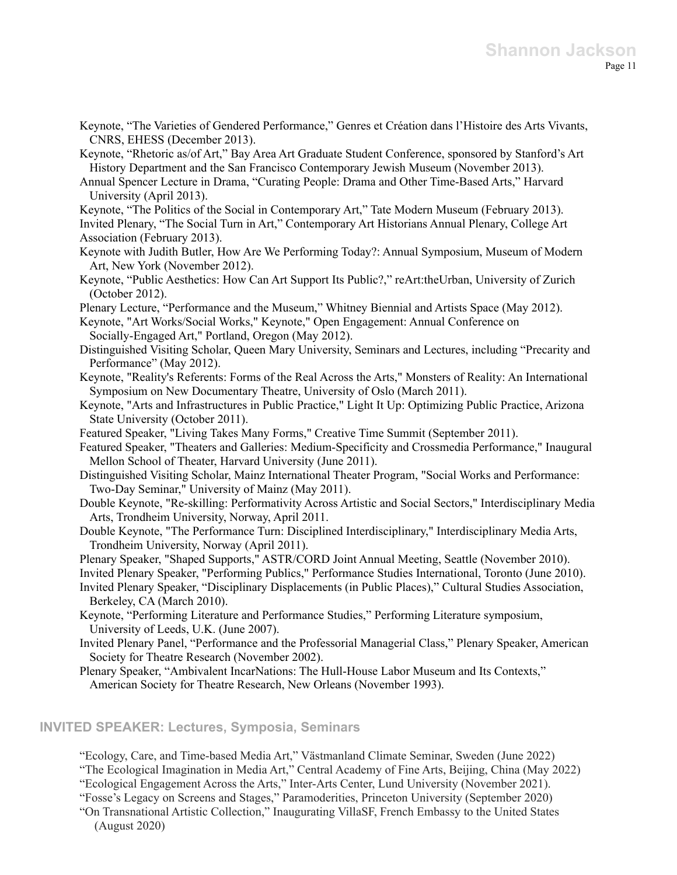- Keynote, "The Varieties of Gendered Performance," Genres et Création dans l'Histoire des Arts Vivants, CNRS, EHESS (December 2013).
- Keynote, "Rhetoric as/of Art," Bay Area Art Graduate Student Conference, sponsored by Stanford's Art History Department and the San Francisco Contemporary Jewish Museum (November 2013).
- Annual Spencer Lecture in Drama, "Curating People: Drama and Other Time-Based Arts," Harvard University (April 2013).
- Keynote, "The Politics of the Social in Contemporary Art," Tate Modern Museum (February 2013).
- Invited Plenary, "The Social Turn in Art," Contemporary Art Historians Annual Plenary, College Art Association (February 2013).
- Keynote with Judith Butler, How Are We Performing Today?: Annual Symposium, Museum of Modern Art, New York (November 2012).
- Keynote, "Public Aesthetics: How Can Art Support Its Public?," reArt:theUrban, University of Zurich (October 2012).
- Plenary Lecture, "Performance and the Museum," Whitney Biennial and Artists Space (May 2012).
- Keynote, "Art Works/Social Works," Keynote," Open Engagement: Annual Conference on Socially-Engaged Art," Portland, Oregon (May 2012).
- Distinguished Visiting Scholar, Queen Mary University, Seminars and Lectures, including "Precarity and Performance" (May 2012).
- Keynote, "Reality's Referents: Forms of the Real Across the Arts," Monsters of Reality: An International Symposium on New Documentary Theatre, University of Oslo (March 2011).
- Keynote, "Arts and Infrastructures in Public Practice," Light It Up: Optimizing Public Practice, Arizona State University (October 2011).
- Featured Speaker, "Living Takes Many Forms," Creative Time Summit (September 2011).
- Featured Speaker, "Theaters and Galleries: Medium-Specificity and Crossmedia Performance," Inaugural Mellon School of Theater, Harvard University (June 2011).
- Distinguished Visiting Scholar, Mainz International Theater Program, "Social Works and Performance: Two-Day Seminar," University of Mainz (May 2011).
- Double Keynote, "Re-skilling: Performativity Across Artistic and Social Sectors," Interdisciplinary Media Arts, Trondheim University, Norway, April 2011.
- Double Keynote, "The Performance Turn: Disciplined Interdisciplinary," Interdisciplinary Media Arts, Trondheim University, Norway (April 2011).
- Plenary Speaker, "Shaped Supports," ASTR/CORD Joint Annual Meeting, Seattle (November 2010).
- Invited Plenary Speaker, "Performing Publics," Performance Studies International, Toronto (June 2010).
- Invited Plenary Speaker, "Disciplinary Displacements (in Public Places)," Cultural Studies Association, Berkeley, CA (March 2010).
- Keynote, "Performing Literature and Performance Studies," Performing Literature symposium, University of Leeds, U.K. (June 2007).
- Invited Plenary Panel, "Performance and the Professorial Managerial Class," Plenary Speaker, American Society for Theatre Research (November 2002).
- Plenary Speaker, "Ambivalent IncarNations: The Hull-House Labor Museum and Its Contexts," American Society for Theatre Research, New Orleans (November 1993).

### **INVITED SPEAKER: Lectures, Symposia, Seminars**

"Ecology, Care, and Time-based Media Art," Västmanland Climate Seminar, Sweden (June 2022) "The Ecological Imagination in Media Art," Central Academy of Fine Arts, Beijing, China (May 2022) "Ecological Engagement Across the Arts," Inter-Arts Center, Lund University (November 2021). "Fosse's Legacy on Screens and Stages," Paramoderities, Princeton University (September 2020)

"On Transnational Artistic Collection," Inaugurating VillaSF, French Embassy to the United States (August 2020)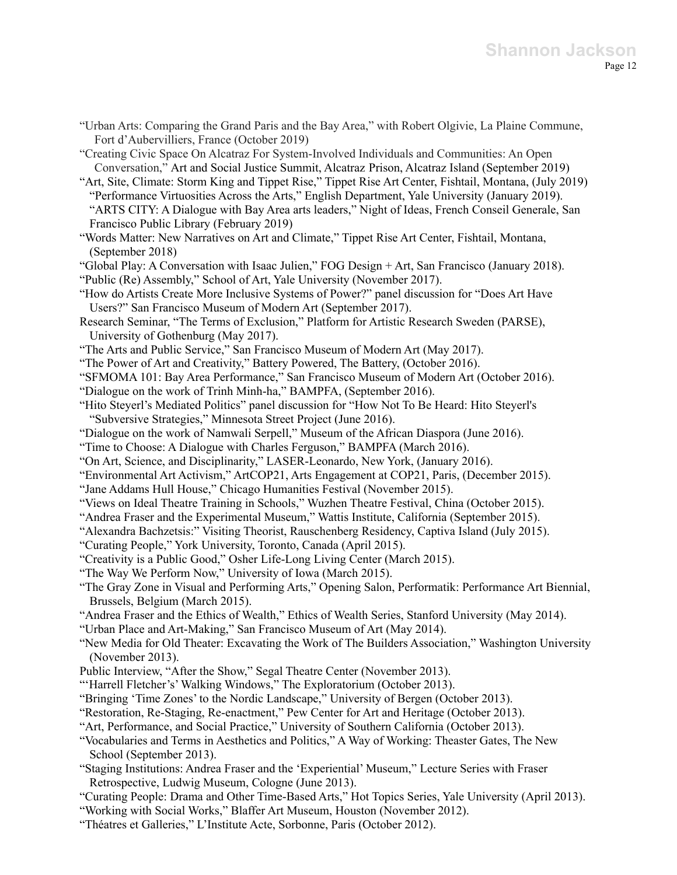"Urban Arts: Comparing the Grand Paris and the Bay Area," with Robert Olgivie, La Plaine Commune, Fort d'Aubervilliers, France (October 2019)

"Creating Civic Space On Alcatraz For System-Involved Individuals and Communities: An Open Conversation," Art and Social Justice Summit, Alcatraz Prison, Alcatraz Island (September 2019)

"Art, Site, Climate: Storm King and Tippet Rise," Tippet Rise Art Center, Fishtail, Montana, (July 2019) "Performance Virtuosities Across the Arts," English Department, Yale University (January 2019). "ARTS CITY: A Dialogue with Bay Area arts leaders," Night of Ideas, French Conseil Generale, San Francisco Public Library (February 2019)

"Words Matter: New Narratives on Art and Climate," Tippet Rise Art Center, Fishtail, Montana, (September 2018)

"Global Play: A Conversation with Isaac Julien," FOG Design + Art, San Francisco (January 2018).

"Public (Re) Assembly," School of Art, Yale University (November 2017).

"How do Artists Create More Inclusive Systems of Power?" panel discussion for "Does Art Have Users?" San Francisco Museum of Modern Art (September 2017).

- Research Seminar, "The Terms of Exclusion," Platform for Artistic Research Sweden (PARSE), University of Gothenburg (May 2017).
- "The Arts and Public Service," San Francisco Museum of Modern Art (May 2017).
- "The Power of Art and Creativity," Battery Powered, The Battery, (October 2016).
- "SFMOMA 101: Bay Area Performance," San Francisco Museum of Modern Art (October 2016).
- "Dialogue on the work of Trinh Minh-ha," BAMPFA, (September 2016).
- "Hito Steyerl's Mediated Politics" panel discussion for "How Not To Be Heard: Hito Steyerl's "Subversive Strategies," Minnesota Street Project (June 2016).
- "Dialogue on the work of Namwali Serpell," Museum of the African Diaspora (June 2016).
- "Time to Choose: A Dialogue with Charles Ferguson," BAMPFA (March 2016).
- "On Art, Science, and Disciplinarity," LASER-Leonardo, New York, (January 2016).
- "Environmental Art Activism," ArtCOP21, Arts Engagement at COP21, Paris, (December 2015).
- "Jane Addams Hull House," Chicago Humanities Festival (November 2015).

"Views on Ideal Theatre Training in Schools," Wuzhen Theatre Festival, China (October 2015).

- "Andrea Fraser and the Experimental Museum," Wattis Institute, California (September 2015).
- "Alexandra Bachzetsis:" Visiting Theorist, Rauschenberg Residency, Captiva Island (July 2015).

"Curating People," York University, Toronto, Canada (April 2015).

- "Creativity is a Public Good," Osher Life-Long Living Center (March 2015).
- "The Way We Perform Now," University of Iowa (March 2015).
- "The Gray Zone in Visual and Performing Arts," Opening Salon, Performatik: Performance Art Biennial, Brussels, Belgium (March 2015).
- "Andrea Fraser and the Ethics of Wealth," Ethics of Wealth Series, Stanford University (May 2014).
- "Urban Place and Art-Making," San Francisco Museum of Art (May 2014).
- "New Media for Old Theater: Excavating the Work of The Builders Association," Washington University (November 2013).
- Public Interview, "After the Show," Segal Theatre Center (November 2013).

"'Harrell Fletcher's' Walking Windows," The Exploratorium (October 2013).

"Bringing 'Time Zones' to the Nordic Landscape," University of Bergen (October 2013).

- "Restoration, Re-Staging, Re-enactment," Pew Center for Art and Heritage (October 2013).
- "Art, Performance, and Social Practice," University of Southern California (October 2013).
- "Vocabularies and Terms in Aesthetics and Politics," A Way of Working: Theaster Gates, The New School (September 2013).
- "Staging Institutions: Andrea Fraser and the 'Experiential' Museum," Lecture Series with Fraser Retrospective, Ludwig Museum, Cologne (June 2013).
- "Curating People: Drama and Other Time-Based Arts," Hot Topics Series, Yale University (April 2013).
- "Working with Social Works," Blaffer Art Museum, Houston (November 2012).
- "Théatres et Galleries," L'Institute Acte, Sorbonne, Paris (October 2012).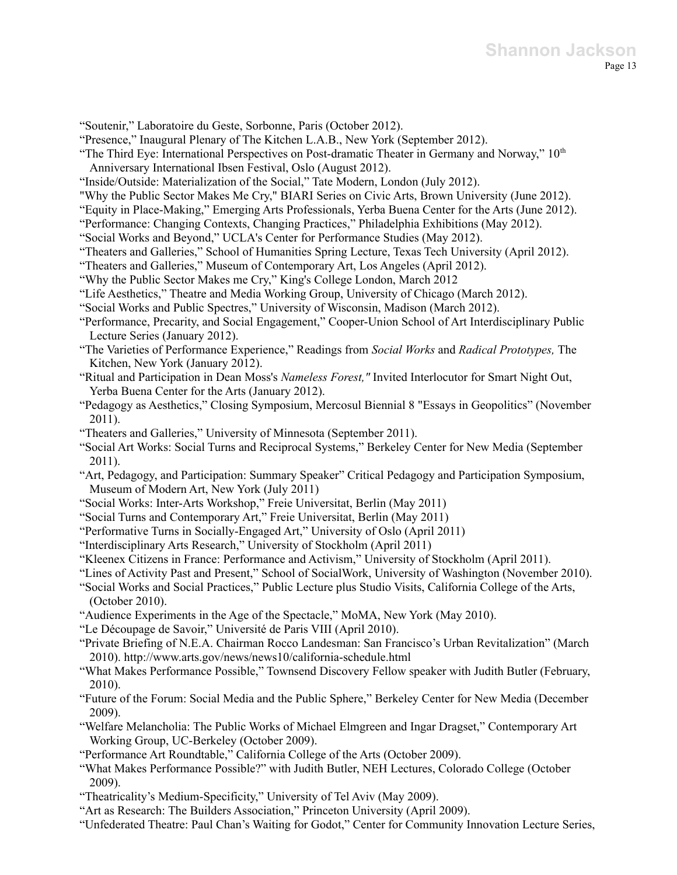"Soutenir," Laboratoire du Geste, Sorbonne, Paris (October 2012).

"Presence," Inaugural Plenary of The Kitchen L.A.B., New York (September 2012).

- "The Third Eye: International Perspectives on Post-dramatic Theater in Germany and Norway," 10<sup>th</sup> Anniversary International Ibsen Festival, Oslo (August 2012).
- "Inside/Outside: Materialization of the Social," Tate Modern, London (July 2012).
- "Why the Public Sector Makes Me Cry," BIARI Series on Civic Arts, Brown University (June 2012).

"Equity in Place-Making," Emerging Arts Professionals, Yerba Buena Center for the Arts (June 2012).

- "Performance: Changing Contexts, Changing Practices," Philadelphia Exhibitions (May 2012).
- "Social Works and Beyond," UCLA's Center for Performance Studies (May 2012).
- "Theaters and Galleries," School of Humanities Spring Lecture, Texas Tech University (April 2012).
- "Theaters and Galleries," Museum of Contemporary Art, Los Angeles (April 2012).
- "Why the Public Sector Makes me Cry," King's College London, March 2012
- "Life Aesthetics," Theatre and Media Working Group, University of Chicago (March 2012).
- "Social Works and Public Spectres," University of Wisconsin, Madison (March 2012).
- "Performance, Precarity, and Social Engagement," Cooper-Union School of Art Interdisciplinary Public Lecture Series (January 2012).
- "The Varieties of Performance Experience," Readings from *Social Works* and *Radical Prototypes,* The Kitchen, New York (January 2012).
- "Ritual and Participation in Dean Moss's *Nameless Forest,"* Invited Interlocutor for Smart Night Out, Yerba Buena Center for the Arts (January 2012).
- "Pedagogy as Aesthetics," Closing Symposium, Mercosul Biennial 8 "Essays in Geopolitics" (November 2011).
- "Theaters and Galleries," University of Minnesota (September 2011).
- "Social Art Works: Social Turns and Reciprocal Systems," Berkeley Center for New Media (September 2011).
- "Art, Pedagogy, and Participation: Summary Speaker" Critical Pedagogy and Participation Symposium, Museum of Modern Art, New York (July 2011)
- "Social Works: Inter-Arts Workshop," Freie Universitat, Berlin (May 2011)
- "Social Turns and Contemporary Art," Freie Universitat, Berlin (May 2011)
- "Performative Turns in Socially-Engaged Art," University of Oslo (April 2011)
- "Interdisciplinary Arts Research," University of Stockholm (April 2011)
- "Kleenex Citizens in France: Performance and Activism," University of Stockholm (April 2011).
- "Lines of Activity Past and Present," School of SocialWork, University of Washington (November 2010).
- "Social Works and Social Practices," Public Lecture plus Studio Visits, California College of the Arts, (October 2010).
- "Audience Experiments in the Age of the Spectacle," MoMA, New York (May 2010).
- "Le Découpage de Savoir," Université de Paris VIII (April 2010).
- "Private Briefing of N.E.A. Chairman Rocco Landesman: San Francisco's Urban Revitalization" (March 2010). http://www.arts.gov/news/news10/california-schedule.html
- "What Makes Performance Possible," Townsend Discovery Fellow speaker with Judith Butler (February, 2010).
- "Future of the Forum: Social Media and the Public Sphere," Berkeley Center for New Media (December 2009).
- "Welfare Melancholia: The Public Works of Michael Elmgreen and Ingar Dragset," Contemporary Art Working Group, UC-Berkeley (October 2009).
- "Performance Art Roundtable," California College of the Arts (October 2009).
- "What Makes Performance Possible?" with Judith Butler, NEH Lectures, Colorado College (October 2009).
- "Theatricality's Medium-Specificity," University of Tel Aviv (May 2009).
- "Art as Research: The Builders Association," Princeton University (April 2009).
- "Unfederated Theatre: Paul Chan's Waiting for Godot," Center for Community Innovation Lecture Series,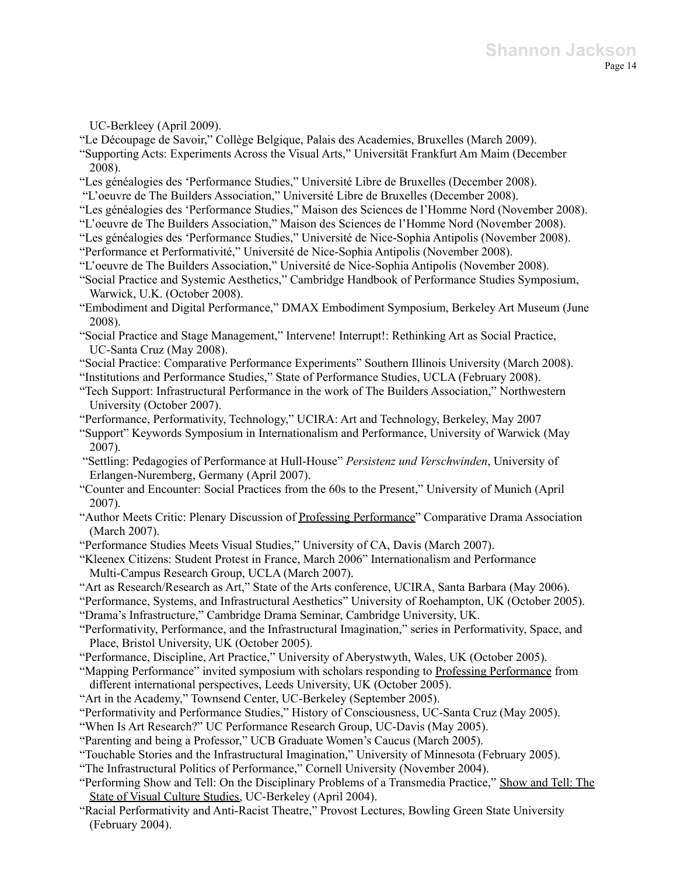UC-Berkleey (April 2009).

"Le Découpage de Savoir," Collège Belgique, Palais des Academies, Bruxelles (March 2009).

- "Supporting Acts: Experiments Across the Visual Arts," Universität Frankfurt Am Maim (December 2008).
- "Les généalogies des 'Performance Studies," Université Libre de Bruxelles (December 2008).
- "L'oeuvre de The Builders Association," Université Libre de Bruxelles (December 2008).
- "Les généalogies des 'Performance Studies," Maison des Sciences de l'Homme Nord (November 2008).
- "L'oeuvre de The Builders Association," Maison des Sciences de l'Homme Nord (November 2008).
- "Les généalogies des 'Performance Studies," Université de Nice-Sophia Antipolis (November 2008).
- "Performance et Performativité," Université de Nice-Sophia Antipolis (November 2008).
- "L'oeuvre de The Builders Association," Université de Nice-Sophia Antipolis (November 2008).
- "Social Practice and Systemic Aesthetics," Cambridge Handbook of Performance Studies Symposium, Warwick, U.K. (October 2008).
- "Embodiment and Digital Performance," DMAX Embodiment Symposium, Berkeley Art Museum (June 2008).
- "Social Practice and Stage Management," Intervene! Interrupt!: Rethinking Art as Social Practice, UC-Santa Cruz (May 2008).
- "Social Practice: Comparative Performance Experiments" Southern Illinois University (March 2008).
- "Institutions and Performance Studies," State of Performance Studies, UCLA (February 2008).
- "Tech Support: Infrastructural Performance in the work of The Builders Association," Northwestern University (October 2007).
- "Performance, Performativity, Technology," UCIRA: Art and Technology, Berkeley, May 2007
- "Support" Keywords Symposium in Internationalism and Performance, University of Warwick (May 2007).
- "Settling: Pedagogies of Performance at Hull-House" *Persistenz und Verschwinden*, University of Erlangen-Nuremberg, Germany (April 2007).
- "Counter and Encounter: Social Practices from the 60s to the Present," University of Munich (April 2007).
- "Author Meets Critic: Plenary Discussion of Professing Performance" Comparative Drama Association (March 2007).
- "Performance Studies Meets Visual Studies," University of CA, Davis (March 2007).
- "Kleenex Citizens: Student Protest in France, March 2006" Internationalism and Performance Multi-Campus Research Group, UCLA (March 2007).
- "Art as Research/Research as Art," State of the Arts conference, UCIRA, Santa Barbara (May 2006).
- "Performance, Systems, and Infrastructural Aesthetics" University of Roehampton, UK (October 2005). "Drama's Infrastructure," Cambridge Drama Seminar, Cambridge University, UK.
- "Performativity, Performance, and the Infrastructural Imagination," series in Performativity, Space, and Place, Bristol University, UK (October 2005).
- "Performance, Discipline, Art Practice," University of Aberystwyth, Wales, UK (October 2005).
- "Mapping Performance" invited symposium with scholars responding to Professing Performance from different international perspectives, Leeds University, UK (October 2005).
- "Art in the Academy," Townsend Center, UC-Berkeley (September 2005).
- "Performativity and Performance Studies," History of Consciousness, UC-Santa Cruz (May 2005).
- "When Is Art Research?" UC Performance Research Group, UC-Davis (May 2005).
- "Parenting and being a Professor," UCB Graduate Women's Caucus (March 2005).
- "Touchable Stories and the Infrastructural Imagination," University of Minnesota (February 2005).
- "The Infrastructural Politics of Performance," Cornell University (November 2004).
- "Performing Show and Tell: On the Disciplinary Problems of a Transmedia Practice," Show and Tell: The State of Visual Culture Studies, UC-Berkeley (April 2004).
- "Racial Performativity and Anti-Racist Theatre," Provost Lectures, Bowling Green State University (February 2004).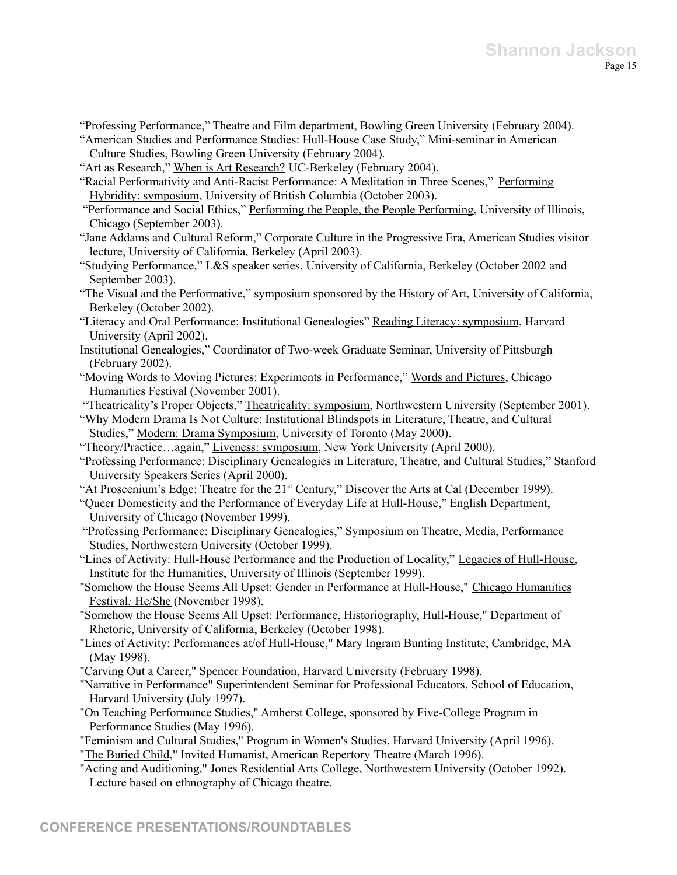"Professing Performance," Theatre and Film department, Bowling Green University (February 2004). "American Studies and Performance Studies: Hull-House Case Study," Mini-seminar in American

Culture Studies, Bowling Green University (February 2004).

"Art as Research," When is Art Research? UC-Berkeley (February 2004).

- "Racial Performativity and Anti-Racist Performance: A Meditation in Three Scenes," Performing Hybridity: symposium, University of British Columbia (October 2003).
- "Performance and Social Ethics," Performing the People, the People Performing, University of Illinois, Chicago (September 2003).
- "Jane Addams and Cultural Reform," Corporate Culture in the Progressive Era, American Studies visitor lecture, University of California, Berkeley (April 2003).
- "Studying Performance," L&S speaker series, University of California, Berkeley (October 2002 and September 2003).
- "The Visual and the Performative," symposium sponsored by the History of Art, University of California, Berkeley (October 2002).
- "Literacy and Oral Performance: Institutional Genealogies" Reading Literacy: symposium, Harvard University (April 2002).
- Institutional Genealogies," Coordinator of Two-week Graduate Seminar, University of Pittsburgh (February 2002).
- "Moving Words to Moving Pictures: Experiments in Performance," Words and Pictures, Chicago Humanities Festival (November 2001).
- "Theatricality's Proper Objects," Theatricality: symposium, Northwestern University (September 2001).
- "Why Modern Drama Is Not Culture: Institutional Blindspots in Literature, Theatre, and Cultural Studies," Modern: Drama Symposium, University of Toronto (May 2000).
- "Theory/Practice…again," Liveness: symposium, New York University (April 2000).
- "Professing Performance: Disciplinary Genealogies in Literature, Theatre, and Cultural Studies," Stanford University Speakers Series (April 2000).
- "At Proscenium's Edge: Theatre for the  $21<sup>st</sup>$  Century," Discover the Arts at Cal (December 1999).
- "Queer Domesticity and the Performance of Everyday Life at Hull-House," English Department, University of Chicago (November 1999).
- "Professing Performance: Disciplinary Genealogies," Symposium on Theatre, Media, Performance Studies, Northwestern University (October 1999).
- "Lines of Activity: Hull-House Performance and the Production of Locality," Legacies of Hull-House, Institute for the Humanities, University of Illinois (September 1999).
- "Somehow the House Seems All Upset: Gender in Performance at Hull-House," Chicago Humanities Festival*:* He/She (November 1998).
- "Somehow the House Seems All Upset: Performance, Historiography, Hull-House," Department of Rhetoric, University of California, Berkeley (October 1998).
- "Lines of Activity: Performances at/of Hull-House," Mary Ingram Bunting Institute, Cambridge, MA (May 1998).
- "Carving Out a Career," Spencer Foundation, Harvard University (February 1998).
- "Narrative in Performance" Superintendent Seminar for Professional Educators, School of Education, Harvard University (July 1997).
- "On Teaching Performance Studies," Amherst College, sponsored by Five-College Program in Performance Studies (May 1996).
- "Feminism and Cultural Studies," Program in Women's Studies, Harvard University (April 1996).
- "The Buried Child," Invited Humanist, American Repertory Theatre (March 1996).
- "Acting and Auditioning," Jones Residential Arts College, Northwestern University (October 1992). Lecture based on ethnography of Chicago theatre.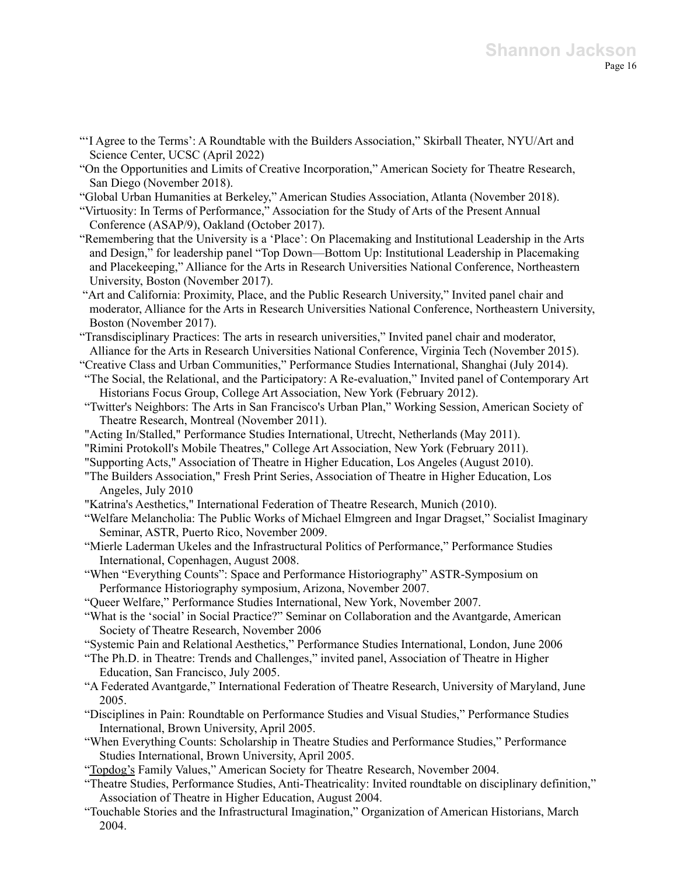- "'I Agree to the Terms': A Roundtable with the Builders Association," Skirball Theater, NYU/Art and Science Center, UCSC (April 2022)
- "On the Opportunities and Limits of Creative Incorporation," American Society for Theatre Research, San Diego (November 2018).
- "Global Urban Humanities at Berkeley," American Studies Association, Atlanta (November 2018).
- "Virtuosity: In Terms of Performance," Association for the Study of Arts of the Present Annual Conference (ASAP/9), Oakland (October 2017).
- "Remembering that the University is a 'Place': On Placemaking and Institutional Leadership in the Arts and Design," for leadership panel "Top Down—Bottom Up: Institutional Leadership in Placemaking and Placekeeping," Alliance for the Arts in Research Universities National Conference, Northeastern University, Boston (November 2017).
- "Art and California: Proximity, Place, and the Public Research University," Invited panel chair and moderator, Alliance for the Arts in Research Universities National Conference, Northeastern University, Boston (November 2017).
- "Transdisciplinary Practices: The arts in research universities," Invited panel chair and moderator, Alliance for the Arts in Research Universities National Conference, Virginia Tech (November 2015).
- "Creative Class and Urban Communities," Performance Studies International, Shanghai (July 2014).
- "The Social, the Relational, and the Participatory: A Re-evaluation," Invited panel of Contemporary Art Historians Focus Group, College Art Association, New York (February 2012).
- "Twitter's Neighbors: The Arts in San Francisco's Urban Plan," Working Session, American Society of Theatre Research, Montreal (November 2011).
- "Acting In/Stalled," Performance Studies International, Utrecht, Netherlands (May 2011).
- "Rimini Protokoll's Mobile Theatres," College Art Association, New York (February 2011).
- "Supporting Acts," Association of Theatre in Higher Education, Los Angeles (August 2010).
- "The Builders Association," Fresh Print Series, Association of Theatre in Higher Education, Los Angeles, July 2010
- "Katrina's Aesthetics," International Federation of Theatre Research, Munich (2010).
- "Welfare Melancholia: The Public Works of Michael Elmgreen and Ingar Dragset," Socialist Imaginary Seminar, ASTR, Puerto Rico, November 2009.
- "Mierle Laderman Ukeles and the Infrastructural Politics of Performance," Performance Studies International, Copenhagen, August 2008.
- "When "Everything Counts": Space and Performance Historiography" ASTR-Symposium on Performance Historiography symposium, Arizona, November 2007.
- "Queer Welfare," Performance Studies International, New York, November 2007.
- "What is the 'social' in Social Practice?" Seminar on Collaboration and the Avantgarde, American Society of Theatre Research, November 2006
- "Systemic Pain and Relational Aesthetics," Performance Studies International, London, June 2006
- "The Ph.D. in Theatre: Trends and Challenges," invited panel, Association of Theatre in Higher Education, San Francisco, July 2005.
- "A Federated Avantgarde," International Federation of Theatre Research, University of Maryland, June 2005.
- "Disciplines in Pain: Roundtable on Performance Studies and Visual Studies," Performance Studies International, Brown University, April 2005.
- "When Everything Counts: Scholarship in Theatre Studies and Performance Studies," Performance Studies International, Brown University, April 2005.
- "Topdog's Family Values," American Society for Theatre Research, November 2004.
- "Theatre Studies, Performance Studies, Anti-Theatricality: Invited roundtable on disciplinary definition," Association of Theatre in Higher Education, August 2004.
- "Touchable Stories and the Infrastructural Imagination," Organization of American Historians, March 2004.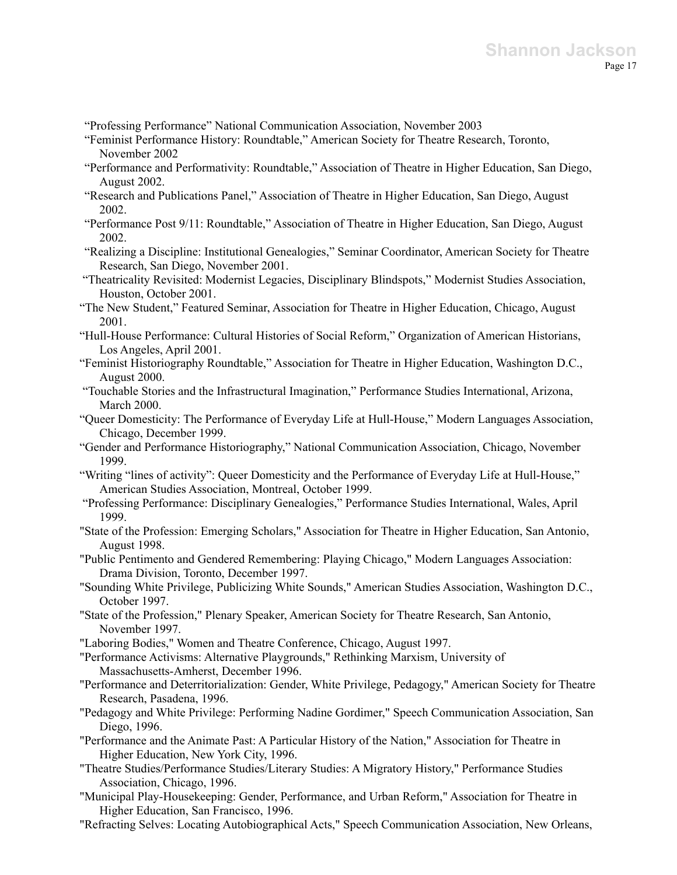"Professing Performance" National Communication Association, November 2003

- "Feminist Performance History: Roundtable," American Society for Theatre Research, Toronto, November 2002
- "Performance and Performativity: Roundtable," Association of Theatre in Higher Education, San Diego, August 2002.
- "Research and Publications Panel," Association of Theatre in Higher Education, San Diego, August 2002.
- "Performance Post 9/11: Roundtable," Association of Theatre in Higher Education, San Diego, August 2002.
- "Realizing a Discipline: Institutional Genealogies," Seminar Coordinator, American Society for Theatre Research, San Diego, November 2001.
- "Theatricality Revisited: Modernist Legacies, Disciplinary Blindspots," Modernist Studies Association, Houston, October 2001.
- "The New Student," Featured Seminar, Association for Theatre in Higher Education, Chicago, August 2001.
- "Hull-House Performance: Cultural Histories of Social Reform," Organization of American Historians, Los Angeles, April 2001.
- "Feminist Historiography Roundtable," Association for Theatre in Higher Education, Washington D.C., August 2000.
- "Touchable Stories and the Infrastructural Imagination," Performance Studies International, Arizona, March 2000.
- "Queer Domesticity: The Performance of Everyday Life at Hull-House," Modern Languages Association, Chicago, December 1999.
- "Gender and Performance Historiography," National Communication Association, Chicago, November 1999.
- "Writing "lines of activity": Queer Domesticity and the Performance of Everyday Life at Hull-House," American Studies Association, Montreal, October 1999.
- "Professing Performance: Disciplinary Genealogies," Performance Studies International, Wales, April 1999.
- "State of the Profession: Emerging Scholars," Association for Theatre in Higher Education, San Antonio, August 1998.
- "Public Pentimento and Gendered Remembering: Playing Chicago," Modern Languages Association: Drama Division, Toronto, December 1997.
- "Sounding White Privilege, Publicizing White Sounds," American Studies Association, Washington D.C., October 1997.
- "State of the Profession," Plenary Speaker, American Society for Theatre Research, San Antonio, November 1997.
- "Laboring Bodies," Women and Theatre Conference, Chicago, August 1997.
- "Performance Activisms: Alternative Playgrounds," Rethinking Marxism, University of Massachusetts-Amherst, December 1996.
- "Performance and Deterritorialization: Gender, White Privilege, Pedagogy," American Society for Theatre Research, Pasadena, 1996.
- "Pedagogy and White Privilege: Performing Nadine Gordimer," Speech Communication Association, San Diego, 1996.
- "Performance and the Animate Past: A Particular History of the Nation," Association for Theatre in Higher Education, New York City, 1996.
- "Theatre Studies/Performance Studies/Literary Studies: A Migratory History," Performance Studies Association, Chicago, 1996.
- "Municipal Play-Housekeeping: Gender, Performance, and Urban Reform," Association for Theatre in Higher Education, San Francisco, 1996.
- "Refracting Selves: Locating Autobiographical Acts," Speech Communication Association, New Orleans,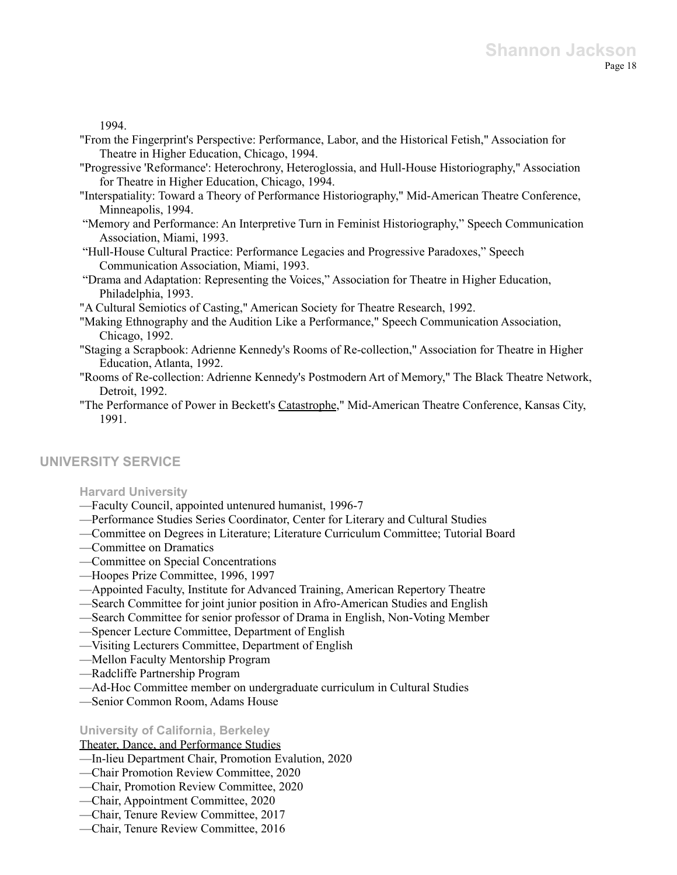1994.

- "From the Fingerprint's Perspective: Performance, Labor, and the Historical Fetish," Association for Theatre in Higher Education, Chicago, 1994.
- "Progressive 'Reformance': Heterochrony, Heteroglossia, and Hull-House Historiography," Association for Theatre in Higher Education, Chicago, 1994.
- "Interspatiality: Toward a Theory of Performance Historiography," Mid-American Theatre Conference, Minneapolis, 1994.
- "Memory and Performance: An Interpretive Turn in Feminist Historiography," Speech Communication Association, Miami, 1993.
- "Hull-House Cultural Practice: Performance Legacies and Progressive Paradoxes," Speech Communication Association, Miami, 1993.
- "Drama and Adaptation: Representing the Voices," Association for Theatre in Higher Education, Philadelphia, 1993.
- "A Cultural Semiotics of Casting," American Society for Theatre Research, 1992.
- "Making Ethnography and the Audition Like a Performance," Speech Communication Association, Chicago, 1992.
- "Staging a Scrapbook: Adrienne Kennedy's Rooms of Re-collection," Association for Theatre in Higher Education, Atlanta, 1992.
- "Rooms of Re-collection: Adrienne Kennedy's Postmodern Art of Memory," The Black Theatre Network, Detroit, 1992.
- "The Performance of Power in Beckett's Catastrophe," Mid-American Theatre Conference, Kansas City, 1991.

## **UNIVERSITY SERVICE**

### **Harvard University**

- —Faculty Council, appointed untenured humanist, 1996-7
- —Performance Studies Series Coordinator, Center for Literary and Cultural Studies
- —Committee on Degrees in Literature; Literature Curriculum Committee; Tutorial Board
- —Committee on Dramatics
- —Committee on Special Concentrations
- —Hoopes Prize Committee, 1996, 1997
- —Appointed Faculty, Institute for Advanced Training, American Repertory Theatre
- —Search Committee for joint junior position in Afro-American Studies and English
- —Search Committee for senior professor of Drama in English, Non-Voting Member
- —Spencer Lecture Committee, Department of English
- —Visiting Lecturers Committee, Department of English
- —Mellon Faculty Mentorship Program
- —Radcliffe Partnership Program
- —Ad-Hoc Committee member on undergraduate curriculum in Cultural Studies
- —Senior Common Room, Adams House

## **University of California, Berkeley**

## Theater, Dance, and Performance Studies

- —In-lieu Department Chair, Promotion Evalution, 2020
- —Chair Promotion Review Committee, 2020
- —Chair, Promotion Review Committee, 2020
- —Chair, Appointment Committee, 2020
- —Chair, Tenure Review Committee, 2017
- —Chair, Tenure Review Committee, 2016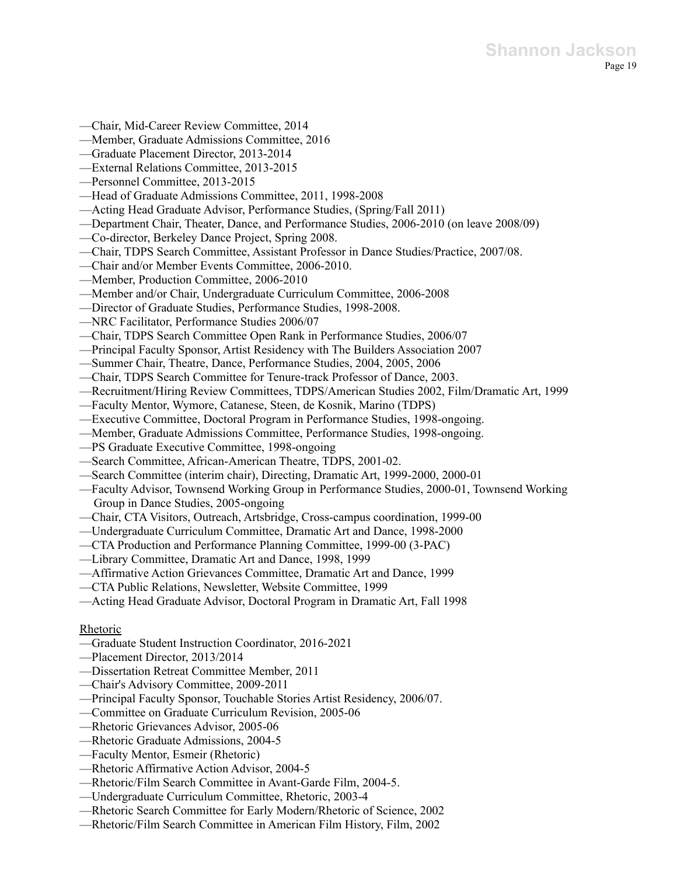- —Chair, Mid-Career Review Committee, 2014
- —Member, Graduate Admissions Committee, 2016
- —Graduate Placement Director, 2013-2014
- —External Relations Committee, 2013-2015
- —Personnel Committee, 2013-2015
- —Head of Graduate Admissions Committee, 2011, 1998-2008
- —Acting Head Graduate Advisor, Performance Studies, (Spring/Fall 2011)
- —Department Chair, Theater, Dance, and Performance Studies, 2006-2010 (on leave 2008/09)
- —Co-director, Berkeley Dance Project, Spring 2008.
- —Chair, TDPS Search Committee, Assistant Professor in Dance Studies/Practice, 2007/08.
- —Chair and/or Member Events Committee, 2006-2010.
- —Member, Production Committee, 2006-2010
- —Member and/or Chair, Undergraduate Curriculum Committee, 2006-2008
- —Director of Graduate Studies, Performance Studies, 1998-2008.
- —NRC Facilitator, Performance Studies 2006/07
- —Chair, TDPS Search Committee Open Rank in Performance Studies, 2006/07
- —Principal Faculty Sponsor, Artist Residency with The Builders Association 2007
- —Summer Chair, Theatre, Dance, Performance Studies, 2004, 2005, 2006
- —Chair, TDPS Search Committee for Tenure-track Professor of Dance, 2003.
- —Recruitment/Hiring Review Committees, TDPS/American Studies 2002, Film/Dramatic Art, 1999
- —Faculty Mentor, Wymore, Catanese, Steen, de Kosnik, Marino (TDPS)
- —Executive Committee, Doctoral Program in Performance Studies, 1998-ongoing.
- —Member, Graduate Admissions Committee, Performance Studies, 1998-ongoing.
- —PS Graduate Executive Committee, 1998-ongoing
- —Search Committee, African-American Theatre, TDPS, 2001-02.
- —Search Committee (interim chair), Directing, Dramatic Art, 1999-2000, 2000-01
- —Faculty Advisor, Townsend Working Group in Performance Studies, 2000-01, Townsend Working Group in Dance Studies, 2005-ongoing
- —Chair, CTA Visitors, Outreach, Artsbridge, Cross-campus coordination, 1999-00
- —Undergraduate Curriculum Committee, Dramatic Art and Dance, 1998-2000
- —CTA Production and Performance Planning Committee, 1999-00 (3-PAC)
- —Library Committee, Dramatic Art and Dance, 1998, 1999
- —Affirmative Action Grievances Committee, Dramatic Art and Dance, 1999
- —CTA Public Relations, Newsletter, Website Committee, 1999
- —Acting Head Graduate Advisor, Doctoral Program in Dramatic Art, Fall 1998

## Rhetoric

- —Graduate Student Instruction Coordinator, 2016-2021
- —Placement Director, 2013/2014
- —Dissertation Retreat Committee Member, 2011
- —Chair's Advisory Committee, 2009-2011
- —Principal Faculty Sponsor, Touchable Stories Artist Residency, 2006/07.
- —Committee on Graduate Curriculum Revision, 2005-06
- —Rhetoric Grievances Advisor, 2005-06
- —Rhetoric Graduate Admissions, 2004-5
- —Faculty Mentor, Esmeir (Rhetoric)
- —Rhetoric Affirmative Action Advisor, 2004-5
- —Rhetoric/Film Search Committee in Avant-Garde Film, 2004-5.
- —Undergraduate Curriculum Committee, Rhetoric, 2003-4
- —Rhetoric Search Committee for Early Modern/Rhetoric of Science, 2002
- —Rhetoric/Film Search Committee in American Film History, Film, 2002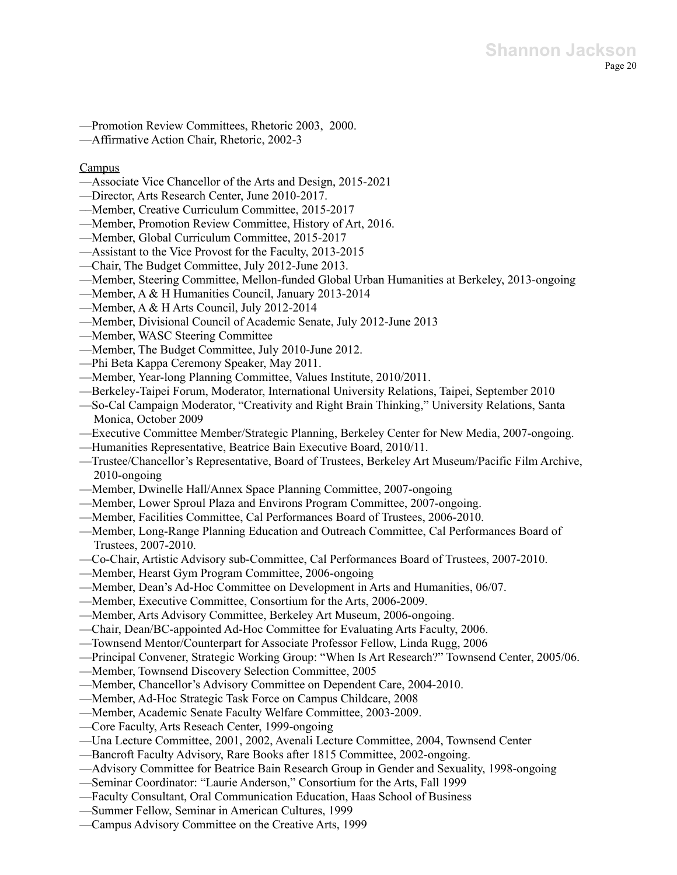—Promotion Review Committees, Rhetoric 2003, 2000.

—Affirmative Action Chair, Rhetoric, 2002-3

### Campus

- —Associate Vice Chancellor of the Arts and Design, 2015-2021
- —Director, Arts Research Center, June 2010-2017.
- ––Member, Creative Curriculum Committee, 2015-2017
- —Member, Promotion Review Committee, History of Art, 2016.
- —Member, Global Curriculum Committee, 2015-2017
- —Assistant to the Vice Provost for the Faculty, 2013-2015
- —Chair, The Budget Committee, July 2012-June 2013.
- —Member, Steering Committee, Mellon-funded Global Urban Humanities at Berkeley, 2013-ongoing
- —Member, A & H Humanities Council, January 2013-2014
- —Member, A & H Arts Council, July 2012-2014
- —Member, Divisional Council of Academic Senate, July 2012-June 2013
- —Member, WASC Steering Committee
- —Member, The Budget Committee, July 2010-June 2012.
- —Phi Beta Kappa Ceremony Speaker, May 2011.
- —Member, Year-long Planning Committee, Values Institute, 2010/2011.
- —Berkeley-Taipei Forum, Moderator, International University Relations, Taipei, September 2010
- —So-Cal Campaign Moderator, "Creativity and Right Brain Thinking," University Relations, Santa Monica, October 2009
- —Executive Committee Member/Strategic Planning, Berkeley Center for New Media, 2007-ongoing.
- —Humanities Representative, Beatrice Bain Executive Board, 2010/11.
- —Trustee/Chancellor's Representative, Board of Trustees, Berkeley Art Museum/Pacific Film Archive, 2010-ongoing
- —Member, Dwinelle Hall/Annex Space Planning Committee, 2007-ongoing
- —Member, Lower Sproul Plaza and Environs Program Committee, 2007-ongoing.
- —Member, Facilities Committee, Cal Performances Board of Trustees, 2006-2010.
- —Member, Long-Range Planning Education and Outreach Committee, Cal Performances Board of Trustees, 2007-2010.
- —Co-Chair, Artistic Advisory sub-Committee, Cal Performances Board of Trustees, 2007-2010.
- —Member, Hearst Gym Program Committee, 2006-ongoing
- —Member, Dean's Ad-Hoc Committee on Development in Arts and Humanities, 06/07.
- —Member, Executive Committee, Consortium for the Arts, 2006-2009.
- —Member, Arts Advisory Committee, Berkeley Art Museum, 2006-ongoing.
- —Chair, Dean/BC-appointed Ad-Hoc Committee for Evaluating Arts Faculty, 2006.
- —Townsend Mentor/Counterpart for Associate Professor Fellow, Linda Rugg, 2006
- —Principal Convener, Strategic Working Group: "When Is Art Research?" Townsend Center, 2005/06.
- —Member, Townsend Discovery Selection Committee, 2005
- —Member, Chancellor's Advisory Committee on Dependent Care, 2004-2010.
- —Member, Ad-Hoc Strategic Task Force on Campus Childcare, 2008
- —Member, Academic Senate Faculty Welfare Committee, 2003-2009.
- —Core Faculty, Arts Reseach Center, 1999-ongoing
- —Una Lecture Committee, 2001, 2002, Avenali Lecture Committee, 2004, Townsend Center
- —Bancroft Faculty Advisory, Rare Books after 1815 Committee, 2002-ongoing.
- —Advisory Committee for Beatrice Bain Research Group in Gender and Sexuality, 1998-ongoing
- —Seminar Coordinator: "Laurie Anderson," Consortium for the Arts, Fall 1999
- —Faculty Consultant, Oral Communication Education, Haas School of Business
- —Summer Fellow, Seminar in American Cultures, 1999
- —Campus Advisory Committee on the Creative Arts, 1999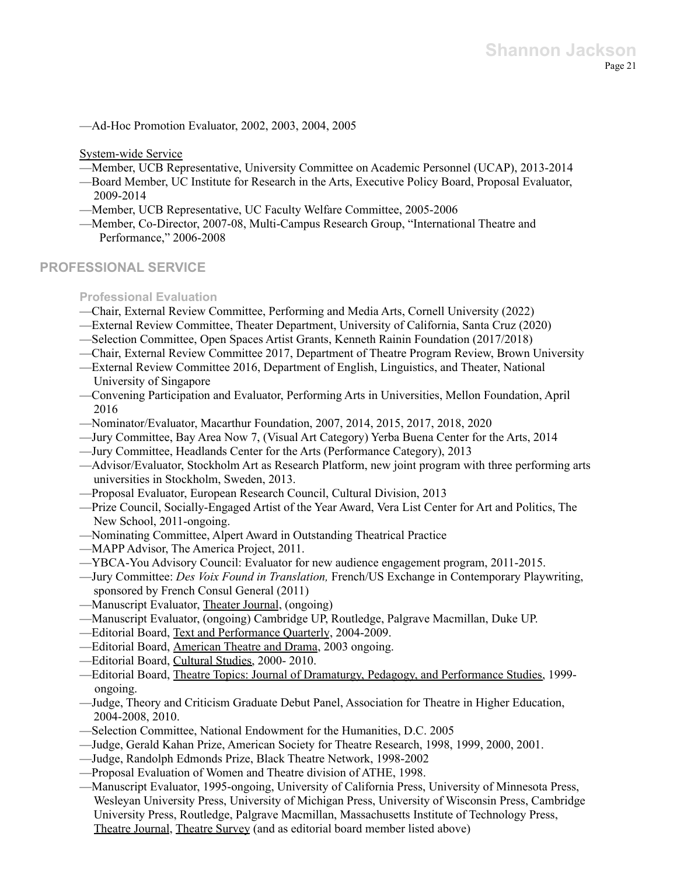—Ad-Hoc Promotion Evaluator, 2002, 2003, 2004, 2005

System-wide Service

- —Member, UCB Representative, University Committee on Academic Personnel (UCAP), 2013-2014
- —Board Member, UC Institute for Research in the Arts, Executive Policy Board, Proposal Evaluator, 2009-2014
- —Member, UCB Representative, UC Faculty Welfare Committee, 2005-2006
- —Member, Co-Director, 2007-08, Multi-Campus Research Group, "International Theatre and Performance," 2006-2008

## **PROFESSIONAL SERVICE**

**Professional Evaluation**

- —Chair, External Review Committee, Performing and Media Arts, Cornell University (2022)
- —External Review Committee, Theater Department, University of California, Santa Cruz (2020)
- —Selection Committee, Open Spaces Artist Grants, Kenneth Rainin Foundation (2017/2018)
- —Chair, External Review Committee 2017, Department of Theatre Program Review, Brown University
- —External Review Committee 2016, Department of English, Linguistics, and Theater, National University of Singapore
- —Convening Participation and Evaluator, Performing Arts in Universities, Mellon Foundation, April 2016
- —Nominator/Evaluator, Macarthur Foundation, 2007, 2014, 2015, 2017, 2018, 2020
- —Jury Committee, Bay Area Now 7, (Visual Art Category) Yerba Buena Center for the Arts, 2014
- —Jury Committee, Headlands Center for the Arts (Performance Category), 2013
- —Advisor/Evaluator, Stockholm Art as Research Platform, new joint program with three performing arts universities in Stockholm, Sweden, 2013.
- —Proposal Evaluator, European Research Council, Cultural Division, 2013
- —Prize Council, Socially-Engaged Artist of the Year Award, Vera List Center for Art and Politics, The New School, 2011-ongoing.
- —Nominating Committee, Alpert Award in Outstanding Theatrical Practice
- —MAPP Advisor, The America Project, 2011.
- —YBCA-You Advisory Council: Evaluator for new audience engagement program, 2011-2015.
- —Jury Committee: *Des Voix Found in Translation,* French/US Exchange in Contemporary Playwriting, sponsored by French Consul General (2011)
- —Manuscript Evaluator, Theater Journal, (ongoing)
- —Manuscript Evaluator, (ongoing) Cambridge UP, Routledge, Palgrave Macmillan, Duke UP.
- —Editorial Board, Text and Performance Quarterly, 2004-2009.
- —Editorial Board, American Theatre and Drama, 2003 ongoing.
- —Editorial Board, Cultural Studies, 2000- 2010.
- —Editorial Board, Theatre Topics: Journal of Dramaturgy, Pedagogy, and Performance Studies, 1999 ongoing.
- —Judge, Theory and Criticism Graduate Debut Panel, Association for Theatre in Higher Education, 2004-2008, 2010.
- —Selection Committee, National Endowment for the Humanities, D.C. 2005
- —Judge, Gerald Kahan Prize, American Society for Theatre Research, 1998, 1999, 2000, 2001.
- —Judge, Randolph Edmonds Prize, Black Theatre Network, 1998-2002
- —Proposal Evaluation of Women and Theatre division of ATHE, 1998.
- —Manuscript Evaluator, 1995-ongoing, University of California Press, University of Minnesota Press, Wesleyan University Press, University of Michigan Press, University of Wisconsin Press, Cambridge University Press, Routledge, Palgrave Macmillan, Massachusetts Institute of Technology Press, Theatre Journal, Theatre Survey (and as editorial board member listed above)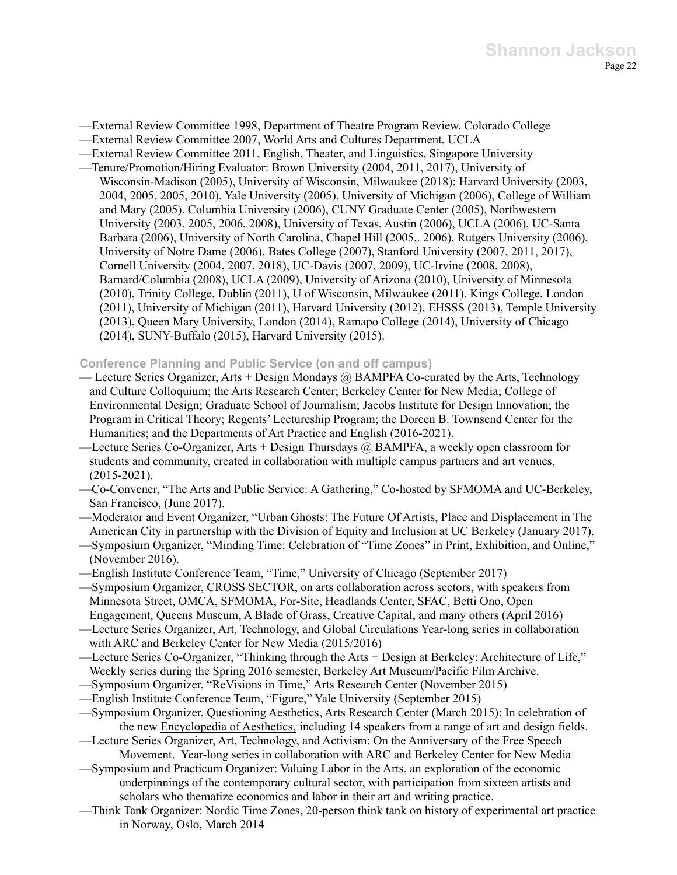—External Review Committee 1998, Department of Theatre Program Review, Colorado College

- —External Review Committee 2007, World Arts and Cultures Department, UCLA
- —External Review Committee 2011, English, Theater, and Linguistics, Singapore University
- —Tenure/Promotion/Hiring Evaluator: Brown University (2004, 2011, 2017), University of Wisconsin-Madison (2005), University of Wisconsin, Milwaukee (2018); Harvard University (2003, 2004, 2005, 2005, 2010), Yale University (2005), University of Michigan (2006), College of William and Mary (2005). Columbia University (2006), CUNY Graduate Center (2005), Northwestern University (2003, 2005, 2006, 2008), University of Texas, Austin (2006), UCLA (2006), UC-Santa Barbara (2006), University of North Carolina, Chapel Hill (2005,. 2006), Rutgers University (2006), University of Notre Dame (2006), Bates College (2007), Stanford University (2007, 2011, 2017), Cornell University (2004, 2007, 2018), UC-Davis (2007, 2009), UC-Irvine (2008, 2008), Barnard/Columbia (2008), UCLA (2009), University of Arizona (2010), University of Minnesota (2010), Trinity College, Dublin (2011), U of Wisconsin, Milwaukee (2011), Kings College, London (2011), University of Michigan (2011), Harvard University (2012), EHSSS (2013), Temple University (2013), Queen Mary University, London (2014), Ramapo College (2014), University of Chicago (2014), SUNY-Buffalo (2015), Harvard University (2015).

### **Conference Planning and Public Service (on and off campus)**

- Lecture Series Organizer, Arts + Design Mondays @ BAMPFA Co-curated by the Arts, Technology and Culture Colloquium; the Arts Research Center; Berkeley Center for New Media; College of Environmental Design; Graduate School of Journalism; Jacobs Institute for Design Innovation; the Program in Critical Theory; Regents' Lectureship Program; the Doreen B. Townsend Center for the Humanities; and the Departments of Art Practice and English (2016-2021).
- —Lecture Series Co-Organizer, Arts + Design Thursdays @ BAMPFA, a weekly open classroom for students and community, created in collaboration with multiple campus partners and art venues, (2015-2021).
- —Co-Convener, "The Arts and Public Service: A Gathering," Co-hosted by SFMOMA and UC-Berkeley, San Francisco, (June 2017).
- —Moderator and Event Organizer, "Urban Ghosts: The Future Of Artists, Place and Displacement in The American City in partnership with the Division of Equity and Inclusion at UC Berkeley (January 2017).
- —Symposium Organizer, "Minding Time: Celebration of "Time Zones" in Print, Exhibition, and Online," (November 2016).
- —English Institute Conference Team, "Time," University of Chicago (September 2017)
- —Symposium Organizer, CROSS SECTOR, on arts collaboration across sectors, with speakers from Minnesota Street, OMCA, SFMOMA, For-Site, Headlands Center, SFAC, Betti Ono, Open Engagement, Queens Museum, A Blade of Grass, Creative Capital, and many others (April 2016)
- —Lecture Series Organizer, Art, Technology, and Global Circulations Year-long series in collaboration with ARC and Berkeley Center for New Media (2015/2016)
- —Lecture Series Co-Organizer, "Thinking through the Arts + Design at Berkeley: Architecture of Life," Weekly series during the Spring 2016 semester, Berkeley Art Museum/Pacific Film Archive.
- —Symposium Organizer, "ReVisions in Time," Arts Research Center (November 2015)
- —English Institute Conference Team, "Figure," Yale University (September 2015)
- ––Symposium Organizer, Questioning Aesthetics, Arts Research Center (March 2015): In celebration of the new Encyclopedia of Aesthetics, including 14 speakers from a range of art and design fields.
- —Lecture Series Organizer, Art, Technology, and Activism: On the Anniversary of the Free Speech Movement. Year-long series in collaboration with ARC and Berkeley Center for New Media
- —Symposium and Practicum Organizer: Valuing Labor in the Arts, an exploration of the economic underpinnings of the contemporary cultural sector, with participation from sixteen artists and scholars who thematize economics and labor in their art and writing practice.
- —Think Tank Organizer: Nordic Time Zones, 20-person think tank on history of experimental art practice in Norway, Oslo, March 2014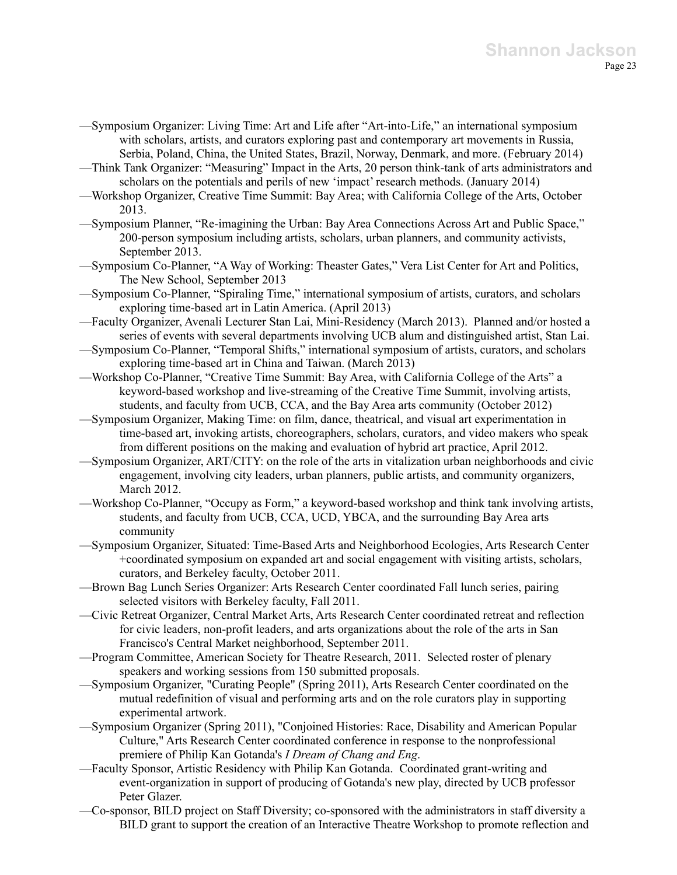- —Symposium Organizer: Living Time: Art and Life after "Art-into-Life," an international symposium with scholars, artists, and curators exploring past and contemporary art movements in Russia, Serbia, Poland, China, the United States, Brazil, Norway, Denmark, and more. (February 2014)
- —Think Tank Organizer: "Measuring" Impact in the Arts, 20 person think-tank of arts administrators and scholars on the potentials and perils of new 'impact' research methods. (January 2014)
- —Workshop Organizer, Creative Time Summit: Bay Area; with California College of the Arts, October 2013.
- —Symposium Planner, "Re-imagining the Urban: Bay Area Connections Across Art and Public Space," 200-person symposium including artists, scholars, urban planners, and community activists, September 2013.
- —Symposium Co-Planner, "A Way of Working: Theaster Gates," Vera List Center for Art and Politics, The New School, September 2013
- —Symposium Co-Planner, "Spiraling Time," international symposium of artists, curators, and scholars exploring time-based art in Latin America. (April 2013)
- —Faculty Organizer, Avenali Lecturer Stan Lai, Mini-Residency (March 2013). Planned and/or hosted a series of events with several departments involving UCB alum and distinguished artist, Stan Lai.
- —Symposium Co-Planner, "Temporal Shifts," international symposium of artists, curators, and scholars exploring time-based art in China and Taiwan. (March 2013)
- —Workshop Co-Planner, "Creative Time Summit: Bay Area, with California College of the Arts" a keyword-based workshop and live-streaming of the Creative Time Summit, involving artists, students, and faculty from UCB, CCA, and the Bay Area arts community (October 2012)
- —Symposium Organizer, Making Time: on film, dance, theatrical, and visual art experimentation in time-based art, invoking artists, choreographers, scholars, curators, and video makers who speak from different positions on the making and evaluation of hybrid art practice, April 2012.
- —Symposium Organizer, ART/CITY: on the role of the arts in vitalization urban neighborhoods and civic engagement, involving city leaders, urban planners, public artists, and community organizers, March 2012.
- —Workshop Co-Planner, "Occupy as Form," a keyword-based workshop and think tank involving artists, students, and faculty from UCB, CCA, UCD, YBCA, and the surrounding Bay Area arts community
- —Symposium Organizer, Situated: Time-Based Arts and Neighborhood Ecologies, Arts Research Center +coordinated symposium on expanded art and social engagement with visiting artists, scholars, curators, and Berkeley faculty, October 2011.
- —Brown Bag Lunch Series Organizer: Arts Research Center coordinated Fall lunch series, pairing selected visitors with Berkeley faculty, Fall 2011.
- —Civic Retreat Organizer, Central Market Arts, Arts Research Center coordinated retreat and reflection for civic leaders, non-profit leaders, and arts organizations about the role of the arts in San Francisco's Central Market neighborhood, September 2011.
- —Program Committee, American Society for Theatre Research, 2011. Selected roster of plenary speakers and working sessions from 150 submitted proposals.
- —Symposium Organizer, "Curating People" (Spring 2011), Arts Research Center coordinated on the mutual redefinition of visual and performing arts and on the role curators play in supporting experimental artwork.
- —Symposium Organizer (Spring 2011), "Conjoined Histories: Race, Disability and American Popular Culture," Arts Research Center coordinated conference in response to the nonprofessional premiere of Philip Kan Gotanda's *I Dream of Chang and Eng*.
- —Faculty Sponsor, Artistic Residency with Philip Kan Gotanda. Coordinated grant-writing and event-organization in support of producing of Gotanda's new play, directed by UCB professor Peter Glazer.
- —Co-sponsor, BILD project on Staff Diversity; co-sponsored with the administrators in staff diversity a BILD grant to support the creation of an Interactive Theatre Workshop to promote reflection and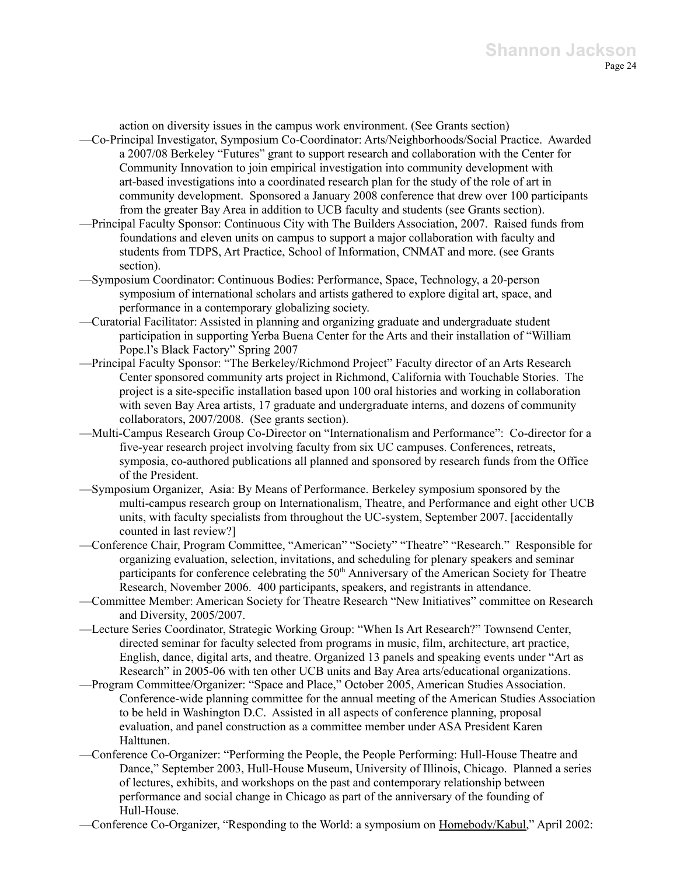action on diversity issues in the campus work environment. (See Grants section)

- —Co-Principal Investigator, Symposium Co-Coordinator: Arts/Neighborhoods/Social Practice. Awarded a 2007/08 Berkeley "Futures" grant to support research and collaboration with the Center for Community Innovation to join empirical investigation into community development with art-based investigations into a coordinated research plan for the study of the role of art in community development. Sponsored a January 2008 conference that drew over 100 participants from the greater Bay Area in addition to UCB faculty and students (see Grants section).
- —Principal Faculty Sponsor: Continuous City with The Builders Association, 2007. Raised funds from foundations and eleven units on campus to support a major collaboration with faculty and students from TDPS, Art Practice, School of Information, CNMAT and more. (see Grants section).
- —Symposium Coordinator: Continuous Bodies: Performance, Space, Technology, a 20-person symposium of international scholars and artists gathered to explore digital art, space, and performance in a contemporary globalizing society.
- —Curatorial Facilitator: Assisted in planning and organizing graduate and undergraduate student participation in supporting Yerba Buena Center for the Arts and their installation of "William Pope.l's Black Factory" Spring 2007
- —Principal Faculty Sponsor: "The Berkeley/Richmond Project" Faculty director of an Arts Research Center sponsored community arts project in Richmond, California with Touchable Stories. The project is a site-specific installation based upon 100 oral histories and working in collaboration with seven Bay Area artists, 17 graduate and undergraduate interns, and dozens of community collaborators, 2007/2008. (See grants section).
- —Multi-Campus Research Group Co-Director on "Internationalism and Performance": Co-director for a five-year research project involving faculty from six UC campuses. Conferences, retreats, symposia, co-authored publications all planned and sponsored by research funds from the Office of the President.
- —Symposium Organizer, Asia: By Means of Performance. Berkeley symposium sponsored by the multi-campus research group on Internationalism, Theatre, and Performance and eight other UCB units, with faculty specialists from throughout the UC-system, September 2007. [accidentally counted in last review?]
- —Conference Chair, Program Committee, "American" "Society" "Theatre" "Research." Responsible for organizing evaluation, selection, invitations, and scheduling for plenary speakers and seminar participants for conference celebrating the 50<sup>th</sup> Anniversary of the American Society for Theatre Research, November 2006. 400 participants, speakers, and registrants in attendance.
- —Committee Member: American Society for Theatre Research "New Initiatives" committee on Research and Diversity, 2005/2007.
- —Lecture Series Coordinator, Strategic Working Group: "When Is Art Research?" Townsend Center, directed seminar for faculty selected from programs in music, film, architecture, art practice, English, dance, digital arts, and theatre. Organized 13 panels and speaking events under "Art as Research" in 2005-06 with ten other UCB units and Bay Area arts/educational organizations.
- —Program Committee/Organizer: "Space and Place," October 2005, American Studies Association. Conference-wide planning committee for the annual meeting of the American Studies Association to be held in Washington D.C. Assisted in all aspects of conference planning, proposal evaluation, and panel construction as a committee member under ASA President Karen Halttunen.
- —Conference Co-Organizer: "Performing the People, the People Performing: Hull-House Theatre and Dance," September 2003, Hull-House Museum, University of Illinois, Chicago. Planned a series of lectures, exhibits, and workshops on the past and contemporary relationship between performance and social change in Chicago as part of the anniversary of the founding of Hull-House.

—Conference Co-Organizer, "Responding to the World: a symposium on Homebody/Kabul," April 2002: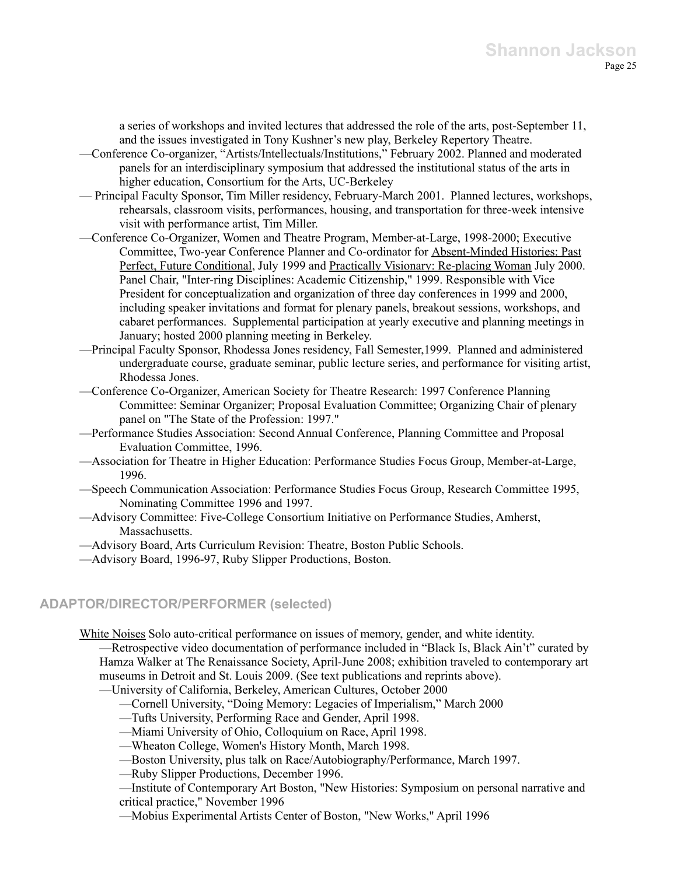a series of workshops and invited lectures that addressed the role of the arts, post-September 11, and the issues investigated in Tony Kushner's new play, Berkeley Repertory Theatre.

- —Conference Co-organizer, "Artists/Intellectuals/Institutions," February 2002. Planned and moderated panels for an interdisciplinary symposium that addressed the institutional status of the arts in higher education, Consortium for the Arts, UC-Berkeley
- Principal Faculty Sponsor, Tim Miller residency, February-March 2001. Planned lectures, workshops, rehearsals, classroom visits, performances, housing, and transportation for three-week intensive visit with performance artist, Tim Miller.
- —Conference Co-Organizer, Women and Theatre Program, Member-at-Large, 1998-2000; Executive Committee, Two-year Conference Planner and Co-ordinator for Absent-Minded Histories: Past Perfect, Future Conditional, July 1999 and Practically Visionary: Re-placing Woman July 2000. Panel Chair, "Inter-ring Disciplines: Academic Citizenship," 1999. Responsible with Vice President for conceptualization and organization of three day conferences in 1999 and 2000, including speaker invitations and format for plenary panels, breakout sessions, workshops, and cabaret performances. Supplemental participation at yearly executive and planning meetings in January; hosted 2000 planning meeting in Berkeley.
- —Principal Faculty Sponsor, Rhodessa Jones residency, Fall Semester,1999. Planned and administered undergraduate course, graduate seminar, public lecture series, and performance for visiting artist, Rhodessa Jones.
- —Conference Co-Organizer, American Society for Theatre Research: 1997 Conference Planning Committee: Seminar Organizer; Proposal Evaluation Committee; Organizing Chair of plenary panel on "The State of the Profession: 1997."
- —Performance Studies Association: Second Annual Conference, Planning Committee and Proposal Evaluation Committee, 1996.
- —Association for Theatre in Higher Education: Performance Studies Focus Group, Member-at-Large, 1996.
- —Speech Communication Association: Performance Studies Focus Group, Research Committee 1995, Nominating Committee 1996 and 1997.
- —Advisory Committee: Five-College Consortium Initiative on Performance Studies, Amherst, **Massachusetts**
- —Advisory Board, Arts Curriculum Revision: Theatre, Boston Public Schools.
- —Advisory Board, 1996-97, Ruby Slipper Productions, Boston.

### **ADAPTOR/DIRECTOR/PERFORMER (selected)**

White Noises Solo auto-critical performance on issues of memory, gender, and white identity.

—Retrospective video documentation of performance included in "Black Is, Black Ain't" curated by Hamza Walker at The Renaissance Society, April-June 2008; exhibition traveled to contemporary art museums in Detroit and St. Louis 2009. (See text publications and reprints above).

—University of California, Berkeley, American Cultures, October 2000

—Cornell University, "Doing Memory: Legacies of Imperialism," March 2000

—Tufts University, Performing Race and Gender, April 1998.

—Miami University of Ohio, Colloquium on Race, April 1998.

—Wheaton College, Women's History Month, March 1998.

—Boston University, plus talk on Race/Autobiography/Performance, March 1997.

—Ruby Slipper Productions, December 1996.

—Institute of Contemporary Art Boston, "New Histories: Symposium on personal narrative and critical practice," November 1996

—Mobius Experimental Artists Center of Boston, "New Works," April 1996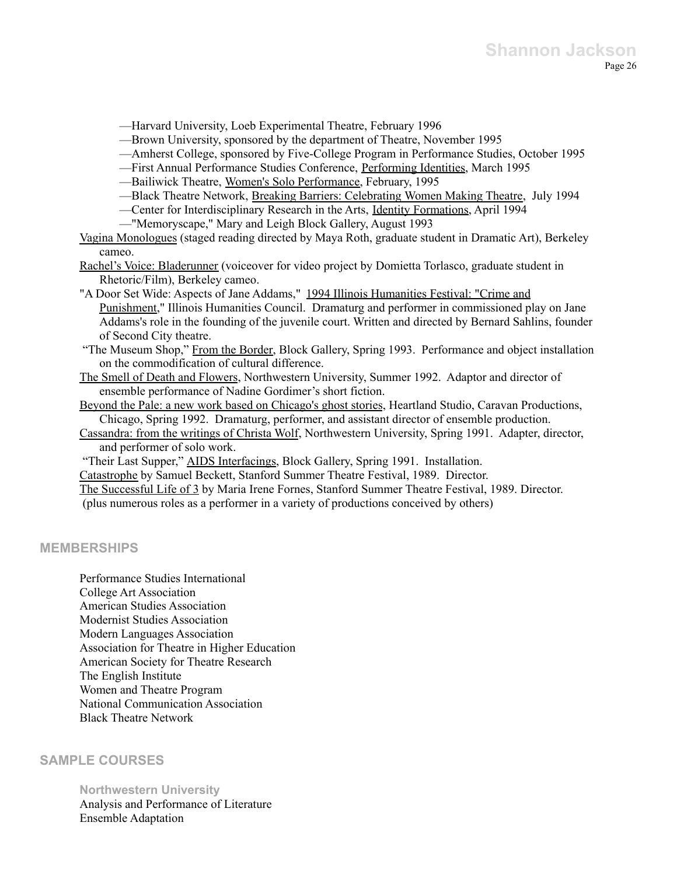—Harvard University, Loeb Experimental Theatre, February 1996

—Brown University, sponsored by the department of Theatre, November 1995

—Amherst College, sponsored by Five-College Program in Performance Studies, October 1995

- —First Annual Performance Studies Conference, Performing Identities, March 1995
- —Bailiwick Theatre, Women's Solo Performance, February, 1995
- —Black Theatre Network, Breaking Barriers: Celebrating Women Making Theatre, July 1994
- —Center for Interdisciplinary Research in the Arts, Identity Formations, April 1994
- —"Memoryscape," Mary and Leigh Block Gallery, August 1993

Vagina Monologues (staged reading directed by Maya Roth, graduate student in Dramatic Art), Berkeley cameo.

Rachel's Voice: Bladerunner (voiceover for video project by Domietta Torlasco, graduate student in Rhetoric/Film), Berkeley cameo.

"A Door Set Wide: Aspects of Jane Addams," 1994 Illinois Humanities Festival: "Crime and Punishment," Illinois Humanities Council. Dramaturg and performer in commissioned play on Jane Addams's role in the founding of the juvenile court. Written and directed by Bernard Sahlins, founder of Second City theatre.

"The Museum Shop," From the Border, Block Gallery, Spring 1993. Performance and object installation on the commodification of cultural difference.

The Smell of Death and Flowers, Northwestern University, Summer 1992. Adaptor and director of ensemble performance of Nadine Gordimer's short fiction.

Beyond the Pale: a new work based on Chicago's ghost stories, Heartland Studio, Caravan Productions, Chicago, Spring 1992. Dramaturg, performer, and assistant director of ensemble production.

Cassandra: from the writings of Christa Wolf, Northwestern University, Spring 1991. Adapter, director, and performer of solo work.

"Their Last Supper," AIDS Interfacings, Block Gallery, Spring 1991. Installation.

Catastrophe by Samuel Beckett, Stanford Summer Theatre Festival, 1989. Director.

The Successful Life of 3 by Maria Irene Fornes, Stanford Summer Theatre Festival, 1989. Director. (plus numerous roles as a performer in a variety of productions conceived by others)

### **MEMBERSHIPS**

Performance Studies International College Art Association American Studies Association Modernist Studies Association Modern Languages Association Association for Theatre in Higher Education American Society for Theatre Research The English Institute Women and Theatre Program National Communication Association Black Theatre Network

### **SAMPLE COURSES**

**Northwestern University**

Analysis and Performance of Literature Ensemble Adaptation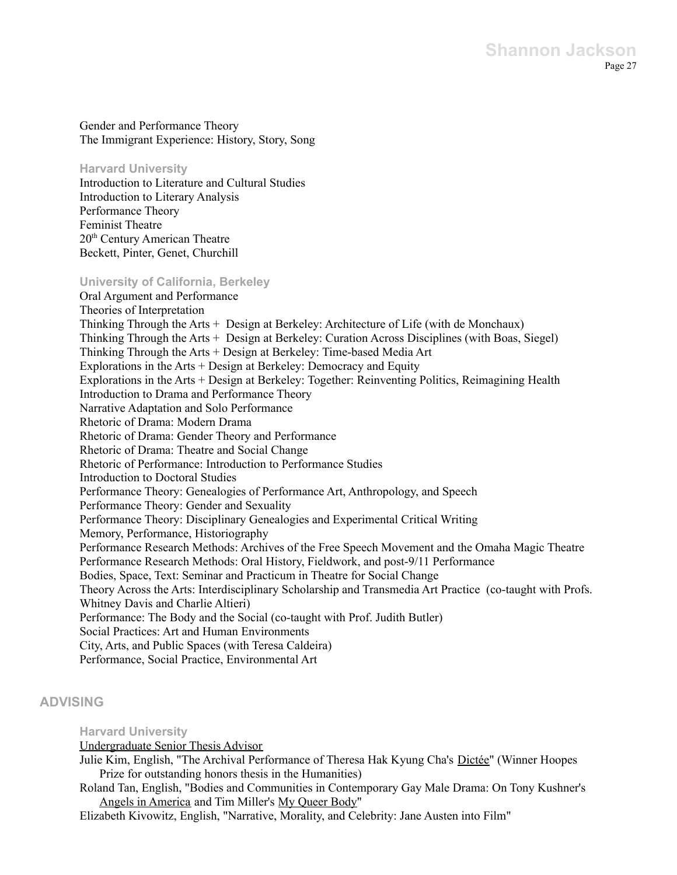Gender and Performance Theory The Immigrant Experience: History, Story, Song

**Harvard University**

Introduction to Literature and Cultural Studies Introduction to Literary Analysis Performance Theory Feminist Theatre 20<sup>th</sup> Century American Theatre Beckett, Pinter, Genet, Churchill

### **University of California, Berkeley**

Oral Argument and Performance Theories of Interpretation Thinking Through the Arts + Design at Berkeley: Architecture of Life (with de Monchaux) Thinking Through the Arts + Design at Berkeley: Curation Across Disciplines (with Boas, Siegel) Thinking Through the Arts + Design at Berkeley: Time-based Media Art Explorations in the Arts + Design at Berkeley: Democracy and Equity Explorations in the Arts + Design at Berkeley: Together: Reinventing Politics, Reimagining Health Introduction to Drama and Performance Theory Narrative Adaptation and Solo Performance Rhetoric of Drama: Modern Drama Rhetoric of Drama: Gender Theory and Performance Rhetoric of Drama: Theatre and Social Change Rhetoric of Performance: Introduction to Performance Studies Introduction to Doctoral Studies Performance Theory: Genealogies of Performance Art, Anthropology, and Speech Performance Theory: Gender and Sexuality Performance Theory: Disciplinary Genealogies and Experimental Critical Writing Memory, Performance, Historiography Performance Research Methods: Archives of the Free Speech Movement and the Omaha Magic Theatre Performance Research Methods: Oral History, Fieldwork, and post-9/11 Performance Bodies, Space, Text: Seminar and Practicum in Theatre for Social Change Theory Across the Arts: Interdisciplinary Scholarship and Transmedia Art Practice (co-taught with Profs. Whitney Davis and Charlie Altieri) Performance: The Body and the Social (co-taught with Prof. Judith Butler) Social Practices: Art and Human Environments City, Arts, and Public Spaces (with Teresa Caldeira) Performance, Social Practice, Environmental Art

## **ADVISING**

### **Harvard University**

### Undergraduate Senior Thesis Advisor

- Julie Kim, English, "The Archival Performance of Theresa Hak Kyung Cha's Dictée" (Winner Hoopes Prize for outstanding honors thesis in the Humanities)
- Roland Tan, English, "Bodies and Communities in Contemporary Gay Male Drama: On Tony Kushner's Angels in America and Tim Miller's My Queer Body"
- Elizabeth Kivowitz, English, "Narrative, Morality, and Celebrity: Jane Austen into Film"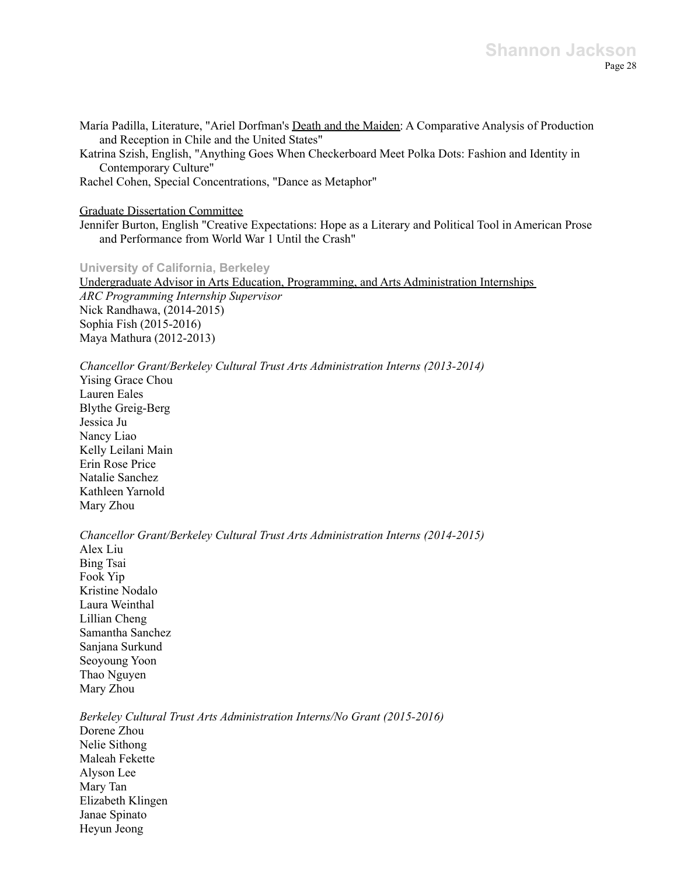María Padilla, Literature, "Ariel Dorfman's Death and the Maiden: A Comparative Analysis of Production and Reception in Chile and the United States"

Katrina Szish, English, "Anything Goes When Checkerboard Meet Polka Dots: Fashion and Identity in Contemporary Culture"

Rachel Cohen, Special Concentrations, "Dance as Metaphor"

#### Graduate Dissertation Committee

Jennifer Burton, English "Creative Expectations: Hope as a Literary and Political Tool in American Prose and Performance from World War 1 Until the Crash"

### **University of California, Berkeley**

Undergraduate Advisor in Arts Education, Programming, and Arts Administration Internships *ARC Programming Internship Supervisor* Nick Randhawa, (2014-2015) Sophia Fish (2015-2016) Maya Mathura (2012-2013)

### *Chancellor Grant/Berkeley Cultural Trust Arts Administration Interns (2013-2014)*

Yising Grace Chou Lauren Eales Blythe Greig-Berg Jessica Ju Nancy Liao Kelly Leilani Main Erin Rose Price Natalie Sanchez Kathleen Yarnold Mary Zhou

*Chancellor Grant/Berkeley Cultural Trust Arts Administration Interns (2014-2015)* Alex Liu Bing Tsai Fook Yip Kristine Nodalo Laura Weinthal Lillian Cheng Samantha Sanchez Sanjana Surkund Seoyoung Yoon Thao Nguyen Mary Zhou

*Berkeley Cultural Trust Arts Administration Interns/No Grant (2015-2016)* Dorene Zhou Nelie Sithong Maleah Fekette Alyson Lee Mary Tan Elizabeth Klingen Janae Spinato Heyun Jeong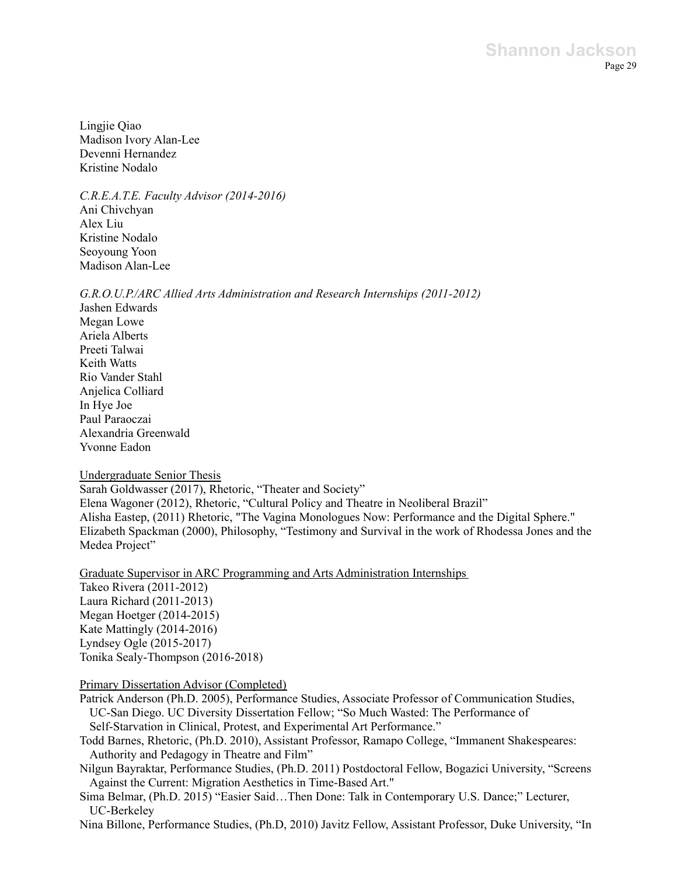Lingjie Qiao Madison Ivory Alan-Lee Devenni Hernandez Kristine Nodalo

*C.R.E.A.T.E. Faculty Advisor (2014-2016)* Ani Chivchyan Alex Liu Kristine Nodalo Seoyoung Yoon Madison Alan-Lee

*G.R.O.U.P./ARC Allied Arts Administration and Research Internships (2011-2012)*

Jashen Edwards Megan Lowe Ariela Alberts Preeti Talwai Keith Watts Rio Vander Stahl Anjelica Colliard In Hye Joe Paul Paraoczai Alexandria Greenwald Yvonne Eadon

#### Undergraduate Senior Thesis

Sarah Goldwasser (2017), Rhetoric, "Theater and Society" Elena Wagoner (2012), Rhetoric, "Cultural Policy and Theatre in Neoliberal Brazil" Alisha Eastep, (2011) Rhetoric, "The Vagina Monologues Now: Performance and the Digital Sphere." Elizabeth Spackman (2000), Philosophy, "Testimony and Survival in the work of Rhodessa Jones and the Medea Project"

Graduate Supervisor in ARC Programming and Arts Administration Internships

Takeo Rivera (2011-2012) Laura Richard (2011-2013) Megan Hoetger (2014-2015) Kate Mattingly (2014-2016) Lyndsey Ogle (2015-2017) Tonika Sealy-Thompson (2016-2018)

### Primary Dissertation Advisor (Completed)

Patrick Anderson (Ph.D. 2005), Performance Studies, Associate Professor of Communication Studies, UC-San Diego. UC Diversity Dissertation Fellow; "So Much Wasted: The Performance of Self-Starvation in Clinical, Protest, and Experimental Art Performance."

Todd Barnes, Rhetoric, (Ph.D. 2010), Assistant Professor, Ramapo College, "Immanent Shakespeares: Authority and Pedagogy in Theatre and Film"

Nilgun Bayraktar, Performance Studies, (Ph.D. 2011) Postdoctoral Fellow, Bogazici University, "Screens Against the Current: Migration Aesthetics in Time-Based Art."

Sima Belmar, (Ph.D. 2015) "Easier Said…Then Done: Talk in Contemporary U.S. Dance;" Lecturer, UC-Berkeley

Nina Billone, Performance Studies, (Ph.D, 2010) Javitz Fellow, Assistant Professor, Duke University, "In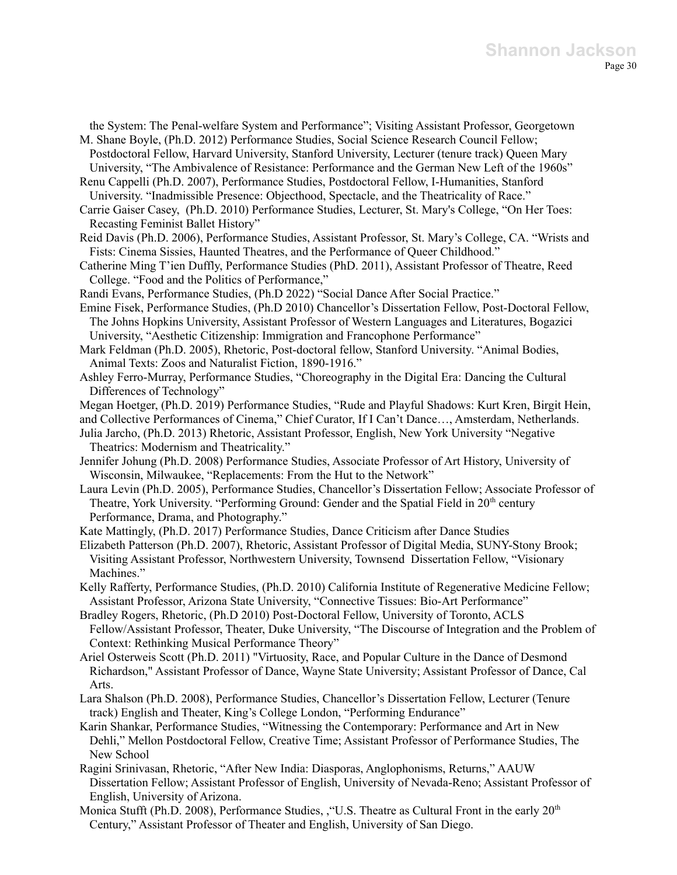the System: The Penal-welfare System and Performance"; Visiting Assistant Professor, Georgetown M. Shane Boyle, (Ph.D. 2012) Performance Studies, Social Science Research Council Fellow;

Postdoctoral Fellow, Harvard University, Stanford University, Lecturer (tenure track) Queen Mary University, "The Ambivalence of Resistance: Performance and the German New Left of the 1960s"

Renu Cappelli (Ph.D. 2007), Performance Studies, Postdoctoral Fellow, I-Humanities, Stanford University. "Inadmissible Presence: Objecthood, Spectacle, and the Theatricality of Race."

Carrie Gaiser Casey, (Ph.D. 2010) Performance Studies, Lecturer, St. Mary's College, "On Her Toes: Recasting Feminist Ballet History"

- Reid Davis (Ph.D. 2006), Performance Studies, Assistant Professor, St. Mary's College, CA. "Wrists and Fists: Cinema Sissies, Haunted Theatres, and the Performance of Queer Childhood."
- Catherine Ming T'ien Duffly, Performance Studies (PhD. 2011), Assistant Professor of Theatre, Reed College. "Food and the Politics of Performance,"

Randi Evans, Performance Studies, (Ph.D 2022) "Social Dance After Social Practice."

Emine Fisek, Performance Studies, (Ph.D 2010) Chancellor's Dissertation Fellow, Post-Doctoral Fellow, The Johns Hopkins University, Assistant Professor of Western Languages and Literatures, Bogazici University, "Aesthetic Citizenship: Immigration and Francophone Performance"

Mark Feldman (Ph.D. 2005), Rhetoric, Post-doctoral fellow, Stanford University. "Animal Bodies, Animal Texts: Zoos and Naturalist Fiction, 1890-1916."

- Ashley Ferro-Murray, Performance Studies, "Choreography in the Digital Era: Dancing the Cultural Differences of Technology"
- Megan Hoetger, (Ph.D. 2019) Performance Studies, "Rude and Playful Shadows: Kurt Kren, Birgit Hein,

and Collective Performances of Cinema," Chief Curator, If I Can't Dance…, Amsterdam, Netherlands.

Julia Jarcho, (Ph.D. 2013) Rhetoric, Assistant Professor, English, New York University "Negative Theatrics: Modernism and Theatricality."

Jennifer Johung (Ph.D. 2008) Performance Studies, Associate Professor of Art History, University of Wisconsin, Milwaukee, "Replacements: From the Hut to the Network"

Laura Levin (Ph.D. 2005), Performance Studies, Chancellor's Dissertation Fellow; Associate Professor of Theatre, York University. "Performing Ground: Gender and the Spatial Field in 20<sup>th</sup> century Performance, Drama, and Photography."

Kate Mattingly, (Ph.D. 2017) Performance Studies, Dance Criticism after Dance Studies

Elizabeth Patterson (Ph.D. 2007), Rhetoric, Assistant Professor of Digital Media, SUNY-Stony Brook; Visiting Assistant Professor, Northwestern University, Townsend Dissertation Fellow, "Visionary Machines."

Kelly Rafferty, Performance Studies, (Ph.D. 2010) California Institute of Regenerative Medicine Fellow; Assistant Professor, Arizona State University, "Connective Tissues: Bio-Art Performance"

Bradley Rogers, Rhetoric, (Ph.D 2010) Post-Doctoral Fellow, University of Toronto, ACLS Fellow/Assistant Professor, Theater, Duke University, "The Discourse of Integration and the Problem of Context: Rethinking Musical Performance Theory"

Ariel Osterweis Scott (Ph.D. 2011) "Virtuosity, Race, and Popular Culture in the Dance of Desmond Richardson," Assistant Professor of Dance, Wayne State University; Assistant Professor of Dance, Cal Arts.

Lara Shalson (Ph.D. 2008), Performance Studies, Chancellor's Dissertation Fellow, Lecturer (Tenure track) English and Theater, King's College London, "Performing Endurance"

- Karin Shankar, Performance Studies, "Witnessing the Contemporary: Performance and Art in New Dehli," Mellon Postdoctoral Fellow, Creative Time; Assistant Professor of Performance Studies, The New School
- Ragini Srinivasan, Rhetoric, "After New India: Diasporas, Anglophonisms, Returns," AAUW Dissertation Fellow; Assistant Professor of English, University of Nevada-Reno; Assistant Professor of English, University of Arizona.
- Monica Stufft (Ph.D. 2008), Performance Studies, , "U.S. Theatre as Cultural Front in the early 20<sup>th</sup> Century," Assistant Professor of Theater and English, University of San Diego.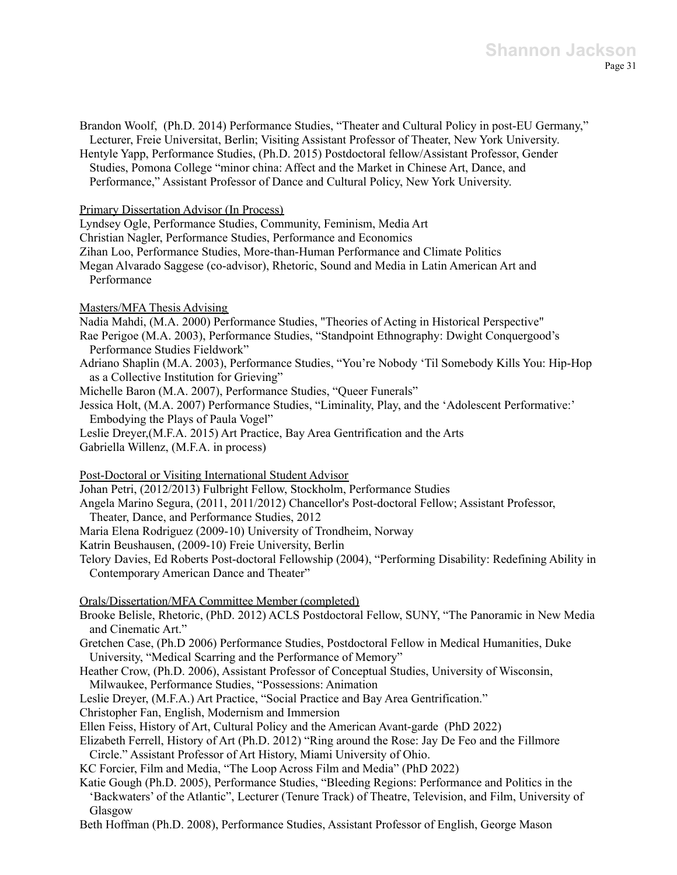Brandon Woolf, (Ph.D. 2014) Performance Studies, "Theater and Cultural Policy in post-EU Germany," Lecturer, Freie Universitat, Berlin; Visiting Assistant Professor of Theater, New York University.

Hentyle Yapp, Performance Studies, (Ph.D. 2015) Postdoctoral fellow/Assistant Professor, Gender Studies, Pomona College "minor china: Affect and the Market in Chinese Art, Dance, and Performance," Assistant Professor of Dance and Cultural Policy, New York University.

Primary Dissertation Advisor (In Process)

Lyndsey Ogle, Performance Studies, Community, Feminism, Media Art

Christian Nagler, Performance Studies, Performance and Economics

Zihan Loo, Performance Studies, More-than-Human Performance and Climate Politics

Megan Alvarado Saggese (co-advisor), Rhetoric, Sound and Media in Latin American Art and Performance

Masters/MFA Thesis Advising

Nadia Mahdi, (M.A. 2000) Performance Studies, "Theories of Acting in Historical Perspective"

- Rae Perigoe (M.A. 2003), Performance Studies, "Standpoint Ethnography: Dwight Conquergood's Performance Studies Fieldwork"
- Adriano Shaplin (M.A. 2003), Performance Studies, "You're Nobody 'Til Somebody Kills You: Hip-Hop as a Collective Institution for Grieving"
- Michelle Baron (M.A. 2007), Performance Studies, "Queer Funerals"

Jessica Holt, (M.A. 2007) Performance Studies, "Liminality, Play, and the 'Adolescent Performative:' Embodying the Plays of Paula Vogel"

Leslie Dreyer,(M.F.A. 2015) Art Practice, Bay Area Gentrification and the Arts Gabriella Willenz, (M.F.A. in process)

Post-Doctoral or Visiting International Student Advisor

Johan Petri, (2012/2013) Fulbright Fellow, Stockholm, Performance Studies

Angela Marino Segura, (2011, 2011/2012) Chancellor's Post-doctoral Fellow; Assistant Professor,

Theater, Dance, and Performance Studies, 2012

Maria Elena Rodriguez (2009-10) University of Trondheim, Norway

Katrin Beushausen, (2009-10) Freie University, Berlin

Telory Davies, Ed Roberts Post-doctoral Fellowship (2004), "Performing Disability: Redefining Ability in Contemporary American Dance and Theater"

Orals/Dissertation/MFA Committee Member (completed)

Brooke Belisle, Rhetoric, (PhD. 2012) ACLS Postdoctoral Fellow, SUNY, "The Panoramic in New Media and Cinematic Art."

Gretchen Case, (Ph.D 2006) Performance Studies, Postdoctoral Fellow in Medical Humanities, Duke University, "Medical Scarring and the Performance of Memory"

Heather Crow, (Ph.D. 2006), Assistant Professor of Conceptual Studies, University of Wisconsin, Milwaukee, Performance Studies, "Possessions: Animation

Leslie Dreyer, (M.F.A.) Art Practice, "Social Practice and Bay Area Gentrification."

Christopher Fan, English, Modernism and Immersion

Ellen Feiss, History of Art, Cultural Policy and the American Avant-garde (PhD 2022)

Elizabeth Ferrell, History of Art (Ph.D. 2012) "Ring around the Rose: Jay De Feo and the Fillmore Circle." Assistant Professor of Art History, Miami University of Ohio.

KC Forcier, Film and Media, "The Loop Across Film and Media" (PhD 2022)

Katie Gough (Ph.D. 2005), Performance Studies, "Bleeding Regions: Performance and Politics in the 'Backwaters' of the Atlantic", Lecturer (Tenure Track) of Theatre, Television, and Film, University of Glasgow

Beth Hoffman (Ph.D. 2008), Performance Studies, Assistant Professor of English, George Mason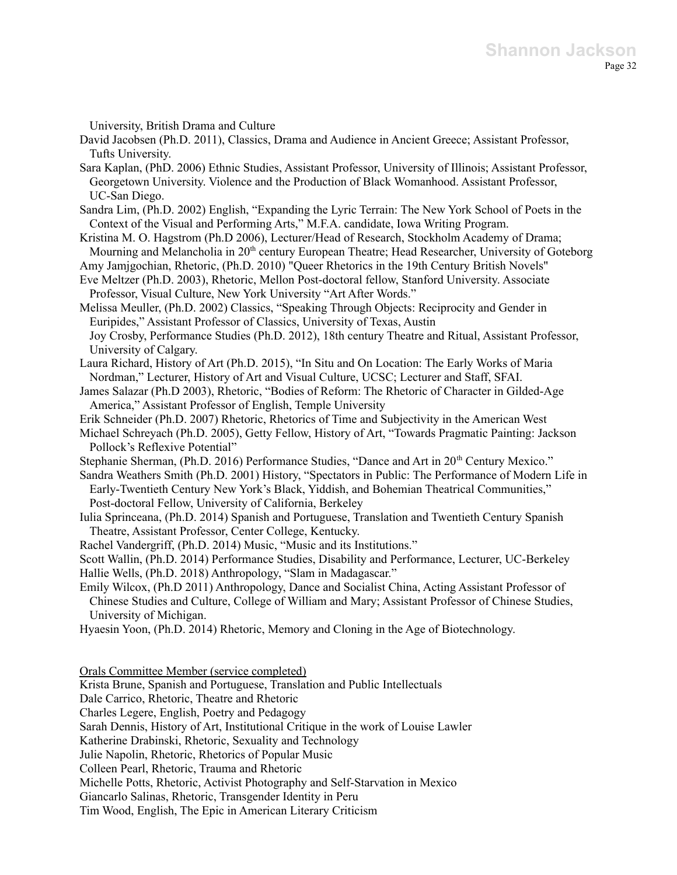University, British Drama and Culture

- David Jacobsen (Ph.D. 2011), Classics, Drama and Audience in Ancient Greece; Assistant Professor, Tufts University.
- Sara Kaplan, (PhD. 2006) Ethnic Studies, Assistant Professor, University of Illinois; Assistant Professor, Georgetown University. Violence and the Production of Black Womanhood. Assistant Professor, UC-San Diego.
- Sandra Lim, (Ph.D. 2002) English, "Expanding the Lyric Terrain: The New York School of Poets in the Context of the Visual and Performing Arts," M.F.A. candidate, Iowa Writing Program.
- Kristina M. O. Hagstrom (Ph.D 2006), Lecturer/Head of Research, Stockholm Academy of Drama; Mourning and Melancholia in 20<sup>th</sup> century European Theatre; Head Researcher, University of Goteborg
- Amy Jamjgochian, Rhetoric, (Ph.D. 2010) "Queer Rhetorics in the 19th Century British Novels" Eve Meltzer (Ph.D. 2003), Rhetoric, Mellon Post-doctoral fellow, Stanford University. Associate

Professor, Visual Culture, New York University "Art After Words."

- Melissa Meuller, (Ph.D. 2002) Classics, "Speaking Through Objects: Reciprocity and Gender in Euripides," Assistant Professor of Classics, University of Texas, Austin Joy Crosby, Performance Studies (Ph.D. 2012), 18th century Theatre and Ritual, Assistant Professor, University of Calgary.
- Laura Richard, History of Art (Ph.D. 2015), "In Situ and On Location: The Early Works of Maria Nordman," Lecturer, History of Art and Visual Culture, UCSC; Lecturer and Staff, SFAI.
- James Salazar (Ph.D 2003), Rhetoric, "Bodies of Reform: The Rhetoric of Character in Gilded-Age America," Assistant Professor of English, Temple University
- Erik Schneider (Ph.D. 2007) Rhetoric, Rhetorics of Time and Subjectivity in the American West
- Michael Schreyach (Ph.D. 2005), Getty Fellow, History of Art, "Towards Pragmatic Painting: Jackson Pollock's Reflexive Potential"
- Stephanie Sherman, (Ph.D. 2016) Performance Studies, "Dance and Art in 20<sup>th</sup> Century Mexico."
- Sandra Weathers Smith (Ph.D. 2001) History, "Spectators in Public: The Performance of Modern Life in Early-Twentieth Century New York's Black, Yiddish, and Bohemian Theatrical Communities," Post-doctoral Fellow, University of California, Berkeley
- Iulia Sprinceana, (Ph.D. 2014) Spanish and Portuguese, Translation and Twentieth Century Spanish Theatre, Assistant Professor, Center College, Kentucky.

Rachel Vandergriff, (Ph.D. 2014) Music, "Music and its Institutions."

Scott Wallin, (Ph.D. 2014) Performance Studies, Disability and Performance, Lecturer, UC-Berkeley Hallie Wells, (Ph.D. 2018) Anthropology, "Slam in Madagascar."

- Emily Wilcox, (Ph.D 2011) Anthropology, Dance and Socialist China, Acting Assistant Professor of Chinese Studies and Culture, College of William and Mary; Assistant Professor of Chinese Studies, University of Michigan.
- Hyaesin Yoon, (Ph.D. 2014) Rhetoric, Memory and Cloning in the Age of Biotechnology.

Orals Committee Member (service completed)

Krista Brune, Spanish and Portuguese, Translation and Public Intellectuals

Dale Carrico, Rhetoric, Theatre and Rhetoric

Charles Legere, English, Poetry and Pedagogy

Sarah Dennis, History of Art, Institutional Critique in the work of Louise Lawler

Katherine Drabinski, Rhetoric, Sexuality and Technology

Julie Napolin, Rhetoric, Rhetorics of Popular Music

Colleen Pearl, Rhetoric, Trauma and Rhetoric

Michelle Potts, Rhetoric, Activist Photography and Self-Starvation in Mexico

Giancarlo Salinas, Rhetoric, Transgender Identity in Peru

Tim Wood, English, The Epic in American Literary Criticism